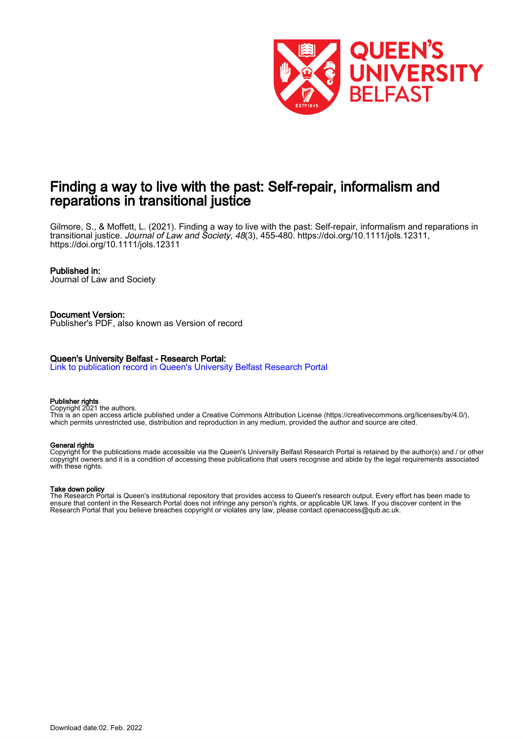

# Finding a way to live with the past: Self-repair, informalism and reparations in transitional justice

Gilmore, S., & Moffett, L. (2021). Finding a way to live with the past: Self-repair, informalism and reparations in transitional justice. Journal of Law and Society, 48(3), 455-480. <https://doi.org/10.1111/jols.12311>, <https://doi.org/10.1111/jols.12311>

#### Published in:

Journal of Law and Society

#### Document Version:

Publisher's PDF, also known as Version of record

#### Queen's University Belfast - Research Portal:

[Link to publication record in Queen's University Belfast Research Portal](https://pure.qub.ac.uk/en/publications/finding-a-way-to-live-with-the-past-selfrepair-informalism-and-reparations-in-transitional-justice(bf3c141d-f86e-4f50-a43d-2568223ffc9a).html)

#### Publisher rights

Copyright 2021 the authors.

This is an open access article published under a Creative Commons Attribution License (https://creativecommons.org/licenses/by/4.0/), which permits unrestricted use, distribution and reproduction in any medium, provided the author and source are cited.

#### General rights

Copyright for the publications made accessible via the Queen's University Belfast Research Portal is retained by the author(s) and / or other copyright owners and it is a condition of accessing these publications that users recognise and abide by the legal requirements associated with these rights.

#### Take down policy

The Research Portal is Queen's institutional repository that provides access to Queen's research output. Every effort has been made to ensure that content in the Research Portal does not infringe any person's rights, or applicable UK laws. If you discover content in the Research Portal that you believe breaches copyright or violates any law, please contact openaccess@qub.ac.uk.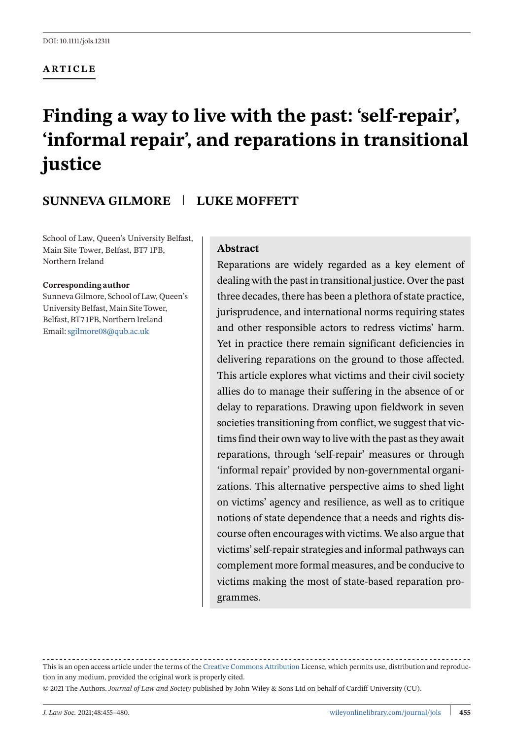#### **ARTICLE**

# **Finding a way to live with the past: 'self-repair', 'informal repair', and reparations in transitional justice**

# **SUNNEVA GILMORE LUKE MOFFETT**

School of Law, Queen's University Belfast, Main Site Tower, Belfast, BT7 1PB, Northern Ireland

#### **Corresponding author**

Sunneva Gilmore, School of Law, Queen's University Belfast, Main Site Tower, Belfast, BT7 1PB, Northern Ireland Email:[sgilmore08@qub.ac.uk](mailto:sgilmore08@qub.ac.uk)

#### **Abstract**

Reparations are widely regarded as a key element of dealing with the past in transitional justice. Over the past three decades, there has been a plethora of state practice, jurisprudence, and international norms requiring states and other responsible actors to redress victims' harm. Yet in practice there remain significant deficiencies in delivering reparations on the ground to those affected. This article explores what victims and their civil society allies do to manage their suffering in the absence of or delay to reparations. Drawing upon fieldwork in seven societies transitioning from conflict, we suggest that victims find their own way to live with the past as they await reparations, through 'self-repair' measures or through 'informal repair' provided by non-governmental organizations. This alternative perspective aims to shed light on victims' agency and resilience, as well as to critique notions of state dependence that a needs and rights discourse often encourages with victims. We also argue that victims' self-repair strategies and informal pathways can complement more formal measures, and be conducive to victims making the most of state-based reparation programmes.

This is an open access article under the terms of the [Creative Commons Attribution](http://creativecommons.org/licenses/by/4.0/) License, which permits use, distribution and reproduction in any medium, provided the original work is properly cited.

© 2021 The Authors. *Journal of Law and Society* published by John Wiley & Sons Ltd on behalf of Cardiff University (CU).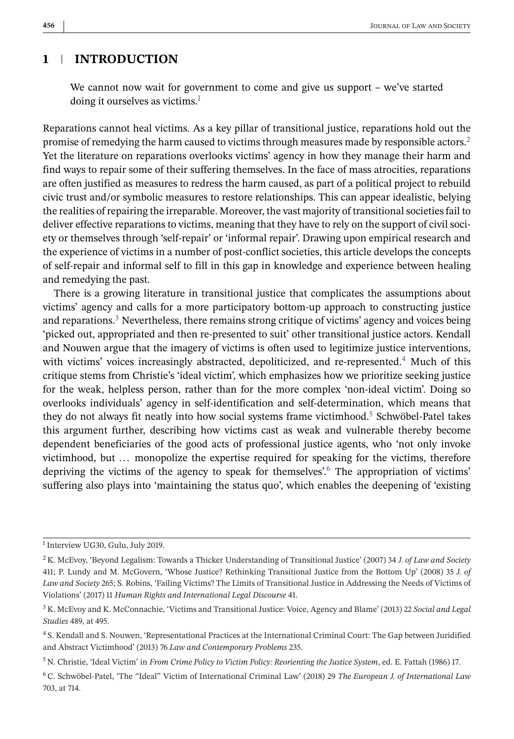# **1 INTRODUCTION**

We cannot now wait for government to come and give us support – we've started doing it ourselves as victims.<sup>1</sup>

Reparations cannot heal victims. As a key pillar of transitional justice, reparations hold out the promise of remedying the harm caused to victims through measures made by responsible actors.<sup>2</sup> Yet the literature on reparations overlooks victims' agency in how they manage their harm and find ways to repair some of their suffering themselves. In the face of mass atrocities, reparations are often justified as measures to redress the harm caused, as part of a political project to rebuild civic trust and/or symbolic measures to restore relationships. This can appear idealistic, belying the realities of repairing the irreparable. Moreover, the vast majority of transitional societies fail to deliver effective reparations to victims, meaning that they have to rely on the support of civil society or themselves through 'self-repair' or 'informal repair'. Drawing upon empirical research and the experience of victims in a number of post-conflict societies, this article develops the concepts of self-repair and informal self to fill in this gap in knowledge and experience between healing and remedying the past.

There is a growing literature in transitional justice that complicates the assumptions about victims' agency and calls for a more participatory bottom-up approach to constructing justice and reparations.<sup>3</sup> Nevertheless, there remains strong critique of victims' agency and voices being 'picked out, appropriated and then re-presented to suit' other transitional justice actors. Kendall and Nouwen argue that the imagery of victims is often used to legitimize justice interventions, with victims' voices increasingly abstracted, depoliticized, and re-represented.<sup>4</sup> Much of this critique stems from Christie's 'ideal victim', which emphasizes how we prioritize seeking justice for the weak, helpless person, rather than for the more complex 'non-ideal victim'. Doing so overlooks individuals' agency in self-identification and self-determination, which means that they do not always fit neatly into how social systems frame victimhood.<sup>5</sup> Schwöbel-Patel takes this argument further, describing how victims cast as weak and vulnerable thereby become dependent beneficiaries of the good acts of professional justice agents, who 'not only invoke victimhood, but ... monopolize the expertise required for speaking for the victims, therefore depriving the victims of the agency to speak for themselves'.<sup>6</sup> The appropriation of victims' suffering also plays into 'maintaining the status quo', which enables the deepening of 'existing

<sup>&</sup>lt;sup>1</sup> Interview UG30, Gulu, July 2019.

<sup>2</sup> K. McEvoy, 'Beyond Legalism: Towards a Thicker Understanding of Transitional Justice' (2007) 34 *J. of Law and Society* 411; P. Lundy and M. McGovern, 'Whose Justice? Rethinking Transitional Justice from the Bottom Up' (2008) 35 *J. of Law and Society* 265; S. Robins, 'Failing Victims? The Limits of Transitional Justice in Addressing the Needs of Victims of Violations' (2017) 11 *Human Rights and International Legal Discourse* 41.

<sup>3</sup> K. McEvoy and K. McConnachie, 'Victims and Transitional Justice: Voice, Agency and Blame' (2013) 22 *Social and Legal Studies* 489, at 495.

<sup>4</sup> S. Kendall and S. Nouwen, 'Representational Practices at the International Criminal Court: The Gap between Juridified and Abstract Victimhood' (2013) 76 *Law and Contemporary Problems* 235.

<sup>5</sup> N. Christie, 'Ideal Victim' in *From Crime Policy to Victim Policy: Reorienting the Justice System*, ed. E. Fattah (1986) 17.

<sup>6</sup> C. Schwöbel-Patel, 'The "Ideal" Victim of International Criminal Law' (2018) 29 *The European J. of International Law* 703, at 714.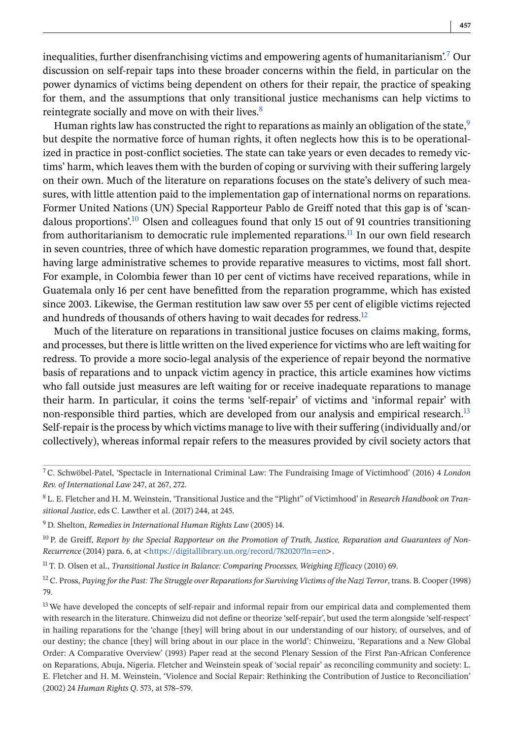inequalities, further disenfranchising victims and empowering agents of humanitarianism'.<sup>7</sup> Our discussion on self-repair taps into these broader concerns within the field, in particular on the power dynamics of victims being dependent on others for their repair, the practice of speaking for them, and the assumptions that only transitional justice mechanisms can help victims to reintegrate socially and move on with their lives.<sup>8</sup>

Human rights law has constructed the right to reparations as mainly an obligation of the state,  $9$ but despite the normative force of human rights, it often neglects how this is to be operationalized in practice in post-conflict societies. The state can take years or even decades to remedy victims' harm, which leaves them with the burden of coping or surviving with their suffering largely on their own. Much of the literature on reparations focuses on the state's delivery of such measures, with little attention paid to the implementation gap of international norms on reparations. Former United Nations (UN) Special Rapporteur Pablo de Greiff noted that this gap is of 'scandalous proportions'.<sup>10</sup> Olsen and colleagues found that only 15 out of 91 countries transitioning from authoritarianism to democratic rule implemented reparations.<sup>11</sup> In our own field research in seven countries, three of which have domestic reparation programmes, we found that, despite having large administrative schemes to provide reparative measures to victims, most fall short. For example, in Colombia fewer than 10 per cent of victims have received reparations, while in Guatemala only 16 per cent have benefitted from the reparation programme, which has existed since 2003. Likewise, the German restitution law saw over 55 per cent of eligible victims rejected and hundreds of thousands of others having to wait decades for redress.<sup>12</sup>

Much of the literature on reparations in transitional justice focuses on claims making, forms, and processes, but there is little written on the lived experience for victims who are left waiting for redress. To provide a more socio-legal analysis of the experience of repair beyond the normative basis of reparations and to unpack victim agency in practice, this article examines how victims who fall outside just measures are left waiting for or receive inadequate reparations to manage their harm. In particular, it coins the terms 'self-repair' of victims and 'informal repair' with non-responsible third parties, which are developed from our analysis and empirical research.<sup>13</sup> Self-repair is the process by which victims manage to live with their suffering (individually and/or collectively), whereas informal repair refers to the measures provided by civil society actors that

<sup>11</sup> T. D. Olsen et al., *Transitional Justice in Balance: Comparing Processes, Weighing Efficacy* (2010) 69.

<sup>12</sup> C. Pross, *Paying for the Past: The Struggle over Reparations for Surviving Victims of the Nazi Terror*, trans. B. Cooper (1998) 79.

<sup>7</sup> C. Schwöbel-Patel, 'Spectacle in International Criminal Law: The Fundraising Image of Victimhood' (2016) 4 *London Rev. of International Law* 247, at 267, 272.

<sup>8</sup> L. E. Fletcher and H. M. Weinstein, 'Transitional Justice and the "Plight" of Victimhood' in *Research Handbook on Transitional Justice*, eds C. Lawther et al. (2017) 244, at 245.

<sup>9</sup> D. Shelton, *Remedies in International Human Rights Law* (2005) 14.

<sup>&</sup>lt;sup>10</sup> P. de Greiff, *Report by the Special Rapporteur on the Promotion of Truth, Justice, Reparation and Guarantees of Non-Recurrence* (2014) para. 6, at <<https://digitallibrary.un.org/record/782020?ln=en>>.

<sup>&</sup>lt;sup>13</sup> We have developed the concepts of self-repair and informal repair from our empirical data and complemented them with research in the literature. Chinweizu did not define or theorize 'self-repair', but used the term alongside 'self-respect' in hailing reparations for the 'change [they] will bring about in our understanding of our history, of ourselves, and of our destiny; the chance [they] will bring about in our place in the world': Chinweizu, 'Reparations and a New Global Order: A Comparative Overview' (1993) Paper read at the second Plenary Session of the First Pan-African Conference on Reparations, Abuja, Nigeria. Fletcher and Weinstein speak of 'social repair' as reconciling community and society: L. E. Fletcher and H. M. Weinstein, 'Violence and Social Repair: Rethinking the Contribution of Justice to Reconciliation' (2002) 24 *Human Rights Q*. 573, at 578–579.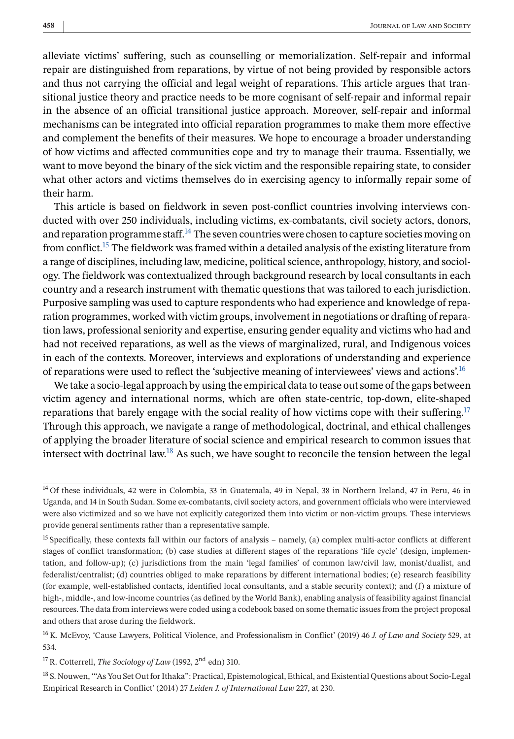alleviate victims' suffering, such as counselling or memorialization. Self-repair and informal repair are distinguished from reparations, by virtue of not being provided by responsible actors and thus not carrying the official and legal weight of reparations. This article argues that transitional justice theory and practice needs to be more cognisant of self-repair and informal repair in the absence of an official transitional justice approach. Moreover, self-repair and informal mechanisms can be integrated into official reparation programmes to make them more effective and complement the benefits of their measures. We hope to encourage a broader understanding of how victims and affected communities cope and try to manage their trauma. Essentially, we want to move beyond the binary of the sick victim and the responsible repairing state, to consider what other actors and victims themselves do in exercising agency to informally repair some of their harm.

This article is based on fieldwork in seven post-conflict countries involving interviews conducted with over 250 individuals, including victims, ex-combatants, civil society actors, donors, and reparation programme staff.<sup>14</sup> The seven countries were chosen to capture societies moving on from conflict.<sup>15</sup> The fieldwork was framed within a detailed analysis of the existing literature from a range of disciplines, including law, medicine, political science, anthropology, history, and sociology. The fieldwork was contextualized through background research by local consultants in each country and a research instrument with thematic questions that was tailored to each jurisdiction. Purposive sampling was used to capture respondents who had experience and knowledge of reparation programmes, worked with victim groups, involvement in negotiations or drafting of reparation laws, professional seniority and expertise, ensuring gender equality and victims who had and had not received reparations, as well as the views of marginalized, rural, and Indigenous voices in each of the contexts. Moreover, interviews and explorations of understanding and experience of reparations were used to reflect the 'subjective meaning of interviewees' views and actions'.16

We take a socio-legal approach by using the empirical data to tease out some of the gaps between victim agency and international norms, which are often state-centric, top-down, elite-shaped reparations that barely engage with the social reality of how victims cope with their suffering.<sup>17</sup> Through this approach, we navigate a range of methodological, doctrinal, and ethical challenges of applying the broader literature of social science and empirical research to common issues that intersect with doctrinal law.18 As such, we have sought to reconcile the tension between the legal

<sup>16</sup> K. McEvoy, 'Cause Lawyers, Political Violence, and Professionalism in Conflict' (2019) 46 *J. of Law and Society* 529, at 534.

<sup>17</sup> R. Cotterrell, *The Sociology of Law* (1992, 2<sup>nd</sup> edn) 310.

<sup>18</sup> S. Nouwen, "As You Set Out for Ithaka": Practical, Epistemological, Ethical, and Existential Questions about Socio-Legal Empirical Research in Conflict' (2014) 27 *Leiden J. of International Law* 227, at 230.

<sup>14</sup> Of these individuals, 42 were in Colombia, 33 in Guatemala, 49 in Nepal, 38 in Northern Ireland, 47 in Peru, 46 in Uganda, and 14 in South Sudan. Some ex-combatants, civil society actors, and government officials who were interviewed were also victimized and so we have not explicitly categorized them into victim or non-victim groups. These interviews provide general sentiments rather than a representative sample.

<sup>&</sup>lt;sup>15</sup> Specifically, these contexts fall within our factors of analysis – namely, (a) complex multi-actor conflicts at different stages of conflict transformation; (b) case studies at different stages of the reparations 'life cycle' (design, implementation, and follow-up); (c) jurisdictions from the main 'legal families' of common law/civil law, monist/dualist, and federalist/centralist; (d) countries obliged to make reparations by different international bodies; (e) research feasibility (for example, well-established contacts, identified local consultants, and a stable security context); and (f) a mixture of high-, middle-, and low-income countries (as defined by the World Bank), enabling analysis of feasibility against financial resources. The data from interviews were coded using a codebook based on some thematic issues from the project proposal and others that arose during the fieldwork.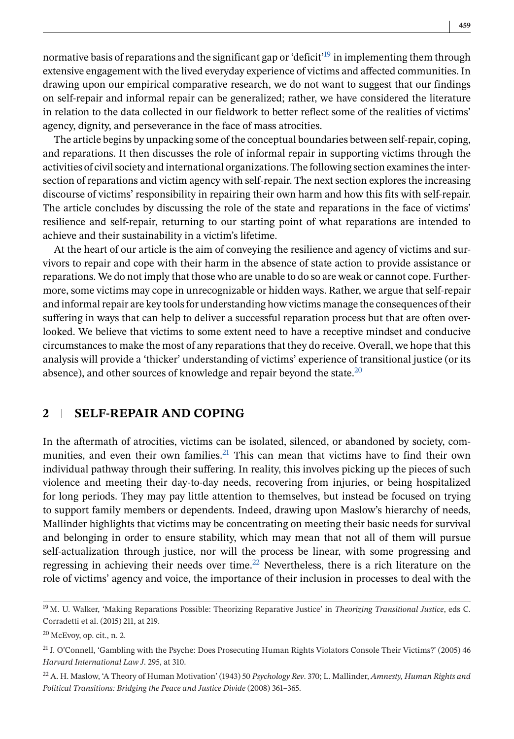normative basis of reparations and the significant gap or 'deficit<sup> $19$ </sup> in implementing them through extensive engagement with the lived everyday experience of victims and affected communities. In drawing upon our empirical comparative research, we do not want to suggest that our findings on self-repair and informal repair can be generalized; rather, we have considered the literature in relation to the data collected in our fieldwork to better reflect some of the realities of victims' agency, dignity, and perseverance in the face of mass atrocities.

The article begins by unpacking some of the conceptual boundaries between self-repair, coping, and reparations. It then discusses the role of informal repair in supporting victims through the activities of civil society and international organizations. The following section examines the intersection of reparations and victim agency with self-repair. The next section explores the increasing discourse of victims' responsibility in repairing their own harm and how this fits with self-repair. The article concludes by discussing the role of the state and reparations in the face of victims' resilience and self-repair, returning to our starting point of what reparations are intended to achieve and their sustainability in a victim's lifetime.

At the heart of our article is the aim of conveying the resilience and agency of victims and survivors to repair and cope with their harm in the absence of state action to provide assistance or reparations. We do not imply that those who are unable to do so are weak or cannot cope. Furthermore, some victims may cope in unrecognizable or hidden ways. Rather, we argue that self-repair and informal repair are key tools for understanding how victims manage the consequences of their suffering in ways that can help to deliver a successful reparation process but that are often overlooked. We believe that victims to some extent need to have a receptive mindset and conducive circumstances to make the most of any reparations that they do receive. Overall, we hope that this analysis will provide a 'thicker' understanding of victims' experience of transitional justice (or its absence), and other sources of knowledge and repair beyond the state. $20$ 

### **2 SELF-REPAIR AND COPING**

In the aftermath of atrocities, victims can be isolated, silenced, or abandoned by society, communities, and even their own families.<sup>21</sup> This can mean that victims have to find their own individual pathway through their suffering. In reality, this involves picking up the pieces of such violence and meeting their day-to-day needs, recovering from injuries, or being hospitalized for long periods. They may pay little attention to themselves, but instead be focused on trying to support family members or dependents. Indeed, drawing upon Maslow's hierarchy of needs, Mallinder highlights that victims may be concentrating on meeting their basic needs for survival and belonging in order to ensure stability, which may mean that not all of them will pursue self-actualization through justice, nor will the process be linear, with some progressing and regressing in achieving their needs over time.<sup>22</sup> Nevertheless, there is a rich literature on the role of victims' agency and voice, the importance of their inclusion in processes to deal with the

<sup>19</sup> M. U. Walker, 'Making Reparations Possible: Theorizing Reparative Justice' in *Theorizing Transitional Justice*, eds C. Corradetti et al. (2015) 211, at 219.

 $20$  McEvoy, op. cit., n. 2.

 $21$  J. O'Connell, 'Gambling with the Psyche: Does Prosecuting Human Rights Violators Console Their Victims?' (2005) 46 *Harvard International Law J*. 295, at 310.

<sup>22</sup> A. H. Maslow, 'A Theory of Human Motivation' (1943) 50 *Psychology Rev*. 370; L. Mallinder, *Amnesty, Human Rights and Political Transitions: Bridging the Peace and Justice Divide* (2008) 361–365.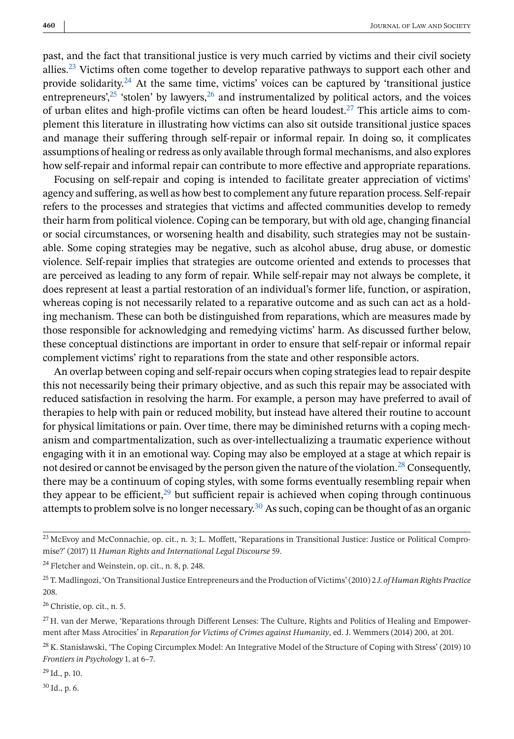past, and the fact that transitional justice is very much carried by victims and their civil society allies.<sup>23</sup> Victims often come together to develop reparative pathways to support each other and provide solidarity.<sup>24</sup> At the same time, victims' voices can be captured by 'transitional justice entrepreneurs<sup>'',25</sup> 'stolen' by lawyers, <sup>26</sup> and instrumentalized by political actors, and the voices of urban elites and high-profile victims can often be heard loudest.<sup>27</sup> This article aims to complement this literature in illustrating how victims can also sit outside transitional justice spaces and manage their suffering through self-repair or informal repair. In doing so, it complicates assumptions of healing or redress as only available through formal mechanisms, and also explores how self-repair and informal repair can contribute to more effective and appropriate reparations.

Focusing on self-repair and coping is intended to facilitate greater appreciation of victims' agency and suffering, as well as how best to complement any future reparation process. Self-repair refers to the processes and strategies that victims and affected communities develop to remedy their harm from political violence. Coping can be temporary, but with old age, changing financial or social circumstances, or worsening health and disability, such strategies may not be sustainable. Some coping strategies may be negative, such as alcohol abuse, drug abuse, or domestic violence. Self-repair implies that strategies are outcome oriented and extends to processes that are perceived as leading to any form of repair. While self-repair may not always be complete, it does represent at least a partial restoration of an individual's former life, function, or aspiration, whereas coping is not necessarily related to a reparative outcome and as such can act as a holding mechanism. These can both be distinguished from reparations, which are measures made by those responsible for acknowledging and remedying victims' harm. As discussed further below, these conceptual distinctions are important in order to ensure that self-repair or informal repair complement victims' right to reparations from the state and other responsible actors.

An overlap between coping and self-repair occurs when coping strategies lead to repair despite this not necessarily being their primary objective, and as such this repair may be associated with reduced satisfaction in resolving the harm. For example, a person may have preferred to avail of therapies to help with pain or reduced mobility, but instead have altered their routine to account for physical limitations or pain. Over time, there may be diminished returns with a coping mechanism and compartmentalization, such as over-intellectualizing a traumatic experience without engaging with it in an emotional way. Coping may also be employed at a stage at which repair is not desired or cannot be envisaged by the person given the nature of the violation.<sup>28</sup> Consequently, there may be a continuum of coping styles, with some forms eventually resembling repair when they appear to be efficient, $29$  but sufficient repair is achieved when coping through continuous attempts to problem solve is no longer necessary.<sup>30</sup> As such, coping can be thought of as an organic

<sup>26</sup> Christie, op. cit., n. 5.

 $29$  Id., p. 10.

 $30$  Id., p. 6.

<sup>&</sup>lt;sup>23</sup> McEvoy and McConnachie, op. cit., n. 3; L. Moffett, 'Reparations in Transitional Justice: Justice or Political Compromise?' (2017) 11 *Human Rights and International Legal Discourse* 59.

<sup>&</sup>lt;sup>24</sup> Fletcher and Weinstein, op. cit., n. 8, p. 248.

<sup>25</sup> T. Madlingozi, 'On Transitional Justice Entrepreneurs and the Production of Victims' (2010) 2 *J. of Human Rights Practice* 208.

<sup>&</sup>lt;sup>27</sup> H. van der Merwe, 'Reparations through Different Lenses: The Culture, Rights and Politics of Healing and Empowerment after Mass Atrocities' in *Reparation for Victims of Crimes against Humanity*, ed. J. Wemmers (2014) 200, at 201.

<sup>&</sup>lt;sup>28</sup> K. Stanisławski, 'The Coping Circumplex Model: An Integrative Model of the Structure of Coping with Stress' (2019) 10 *Frontiers in Psychology* 1, at 6–7.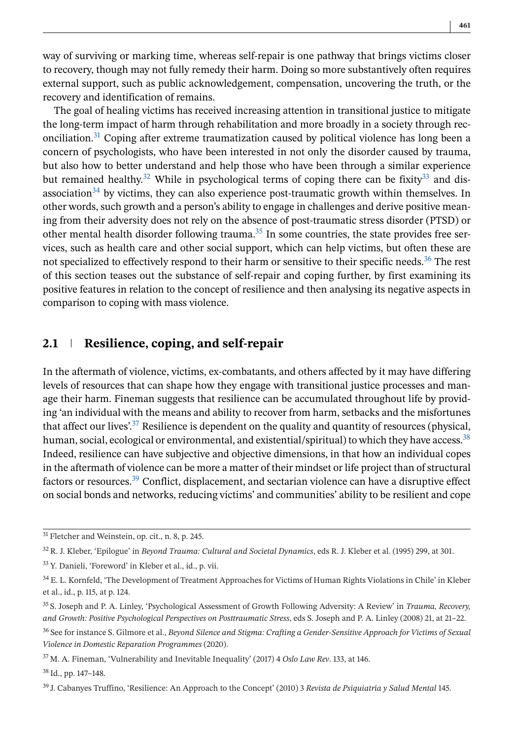way of surviving or marking time, whereas self-repair is one pathway that brings victims closer to recovery, though may not fully remedy their harm. Doing so more substantively often requires external support, such as public acknowledgement, compensation, uncovering the truth, or the recovery and identification of remains.

The goal of healing victims has received increasing attention in transitional justice to mitigate the long-term impact of harm through rehabilitation and more broadly in a society through reconciliation.31 Coping after extreme traumatization caused by political violence has long been a concern of psychologists, who have been interested in not only the disorder caused by trauma, but also how to better understand and help those who have been through a similar experience but remained healthy.<sup>32</sup> While in psychological terms of coping there can be fixity.<sup>33</sup> and disassociation<sup>34</sup> by victims, they can also experience post-traumatic growth within themselves. In other words, such growth and a person's ability to engage in challenges and derive positive meaning from their adversity does not rely on the absence of post-traumatic stress disorder (PTSD) or other mental health disorder following trauma.<sup>35</sup> In some countries, the state provides free services, such as health care and other social support, which can help victims, but often these are not specialized to effectively respond to their harm or sensitive to their specific needs.<sup>36</sup> The rest of this section teases out the substance of self-repair and coping further, by first examining its positive features in relation to the concept of resilience and then analysing its negative aspects in comparison to coping with mass violence.

# **2.1 Resilience, coping, and self-repair**

In the aftermath of violence, victims, ex-combatants, and others affected by it may have differing levels of resources that can shape how they engage with transitional justice processes and manage their harm. Fineman suggests that resilience can be accumulated throughout life by providing 'an individual with the means and ability to recover from harm, setbacks and the misfortunes that affect our lives'.<sup>37</sup> Resilience is dependent on the quality and quantity of resources (physical, human, social, ecological or environmental, and existential/spiritual) to which they have access.<sup>38</sup> Indeed, resilience can have subjective and objective dimensions, in that how an individual copes in the aftermath of violence can be more a matter of their mindset or life project than of structural factors or resources.<sup>39</sup> Conflict, displacement, and sectarian violence can have a disruptive effect on social bonds and networks, reducing victims' and communities' ability to be resilient and cope

<sup>38</sup> Id., pp. 147–148.

<sup>&</sup>lt;sup>31</sup> Fletcher and Weinstein, op. cit., n. 8, p. 245.

<sup>32</sup> R. J. Kleber, 'Epilogue' in *Beyond Trauma: Cultural and Societal Dynamics*, eds R. J. Kleber et al. (1995) 299, at 301.

<sup>33</sup> Y. Danieli, 'Foreword' in Kleber et al., id., p. vii.

<sup>34</sup> E. L. Kornfeld, 'The Development of Treatment Approaches for Victims of Human Rights Violations in Chile' in Kleber et al., id., p. 115, at p. 124.

<sup>35</sup> S. Joseph and P. A. Linley, 'Psychological Assessment of Growth Following Adversity: A Review' in *Trauma, Recovery, and Growth: Positive Psychological Perspectives on Posttraumatic Stress*, eds S. Joseph and P. A. Linley (2008) 21, at 21–22.

<sup>36</sup> See for instance S. Gilmore et al., *Beyond Silence and Stigma: Crafting a Gender-Sensitive Approach for Victims of Sexual Violence in Domestic Reparation Programmes* (2020).

<sup>37</sup> M. A. Fineman, 'Vulnerability and Inevitable Inequality' (2017) 4 *Oslo Law Rev*. 133, at 146.

<sup>39</sup> J. Cabanyes Truffino, 'Resilience: An Approach to the Concept' (2010) 3 *Revista de Psiquiatría y Salud Mental* 145.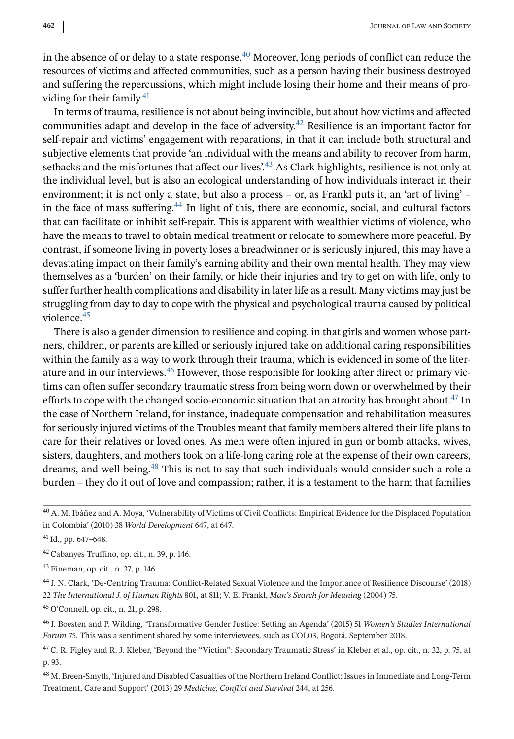in the absence of or delay to a state response.<sup>40</sup> Moreover, long periods of conflict can reduce the resources of victims and affected communities, such as a person having their business destroyed and suffering the repercussions, which might include losing their home and their means of providing for their family.<sup>41</sup>

In terms of trauma, resilience is not about being invincible, but about how victims and affected communities adapt and develop in the face of adversity.<sup>42</sup> Resilience is an important factor for self-repair and victims' engagement with reparations, in that it can include both structural and subjective elements that provide 'an individual with the means and ability to recover from harm, setbacks and the misfortunes that affect our lives'.<sup>43</sup> As Clark highlights, resilience is not only at the individual level, but is also an ecological understanding of how individuals interact in their environment; it is not only a state, but also a process – or, as Frankl puts it, an 'art of living' – in the face of mass suffering.<sup>44</sup> In light of this, there are economic, social, and cultural factors that can facilitate or inhibit self-repair. This is apparent with wealthier victims of violence, who have the means to travel to obtain medical treatment or relocate to somewhere more peaceful. By contrast, if someone living in poverty loses a breadwinner or is seriously injured, this may have a devastating impact on their family's earning ability and their own mental health. They may view themselves as a 'burden' on their family, or hide their injuries and try to get on with life, only to suffer further health complications and disability in later life as a result. Many victims may just be struggling from day to day to cope with the physical and psychological trauma caused by political violence.45

There is also a gender dimension to resilience and coping, in that girls and women whose partners, children, or parents are killed or seriously injured take on additional caring responsibilities within the family as a way to work through their trauma, which is evidenced in some of the literature and in our interviews.46 However, those responsible for looking after direct or primary victims can often suffer secondary traumatic stress from being worn down or overwhelmed by their efforts to cope with the changed socio-economic situation that an atrocity has brought about.<sup>47</sup> In the case of Northern Ireland, for instance, inadequate compensation and rehabilitation measures for seriously injured victims of the Troubles meant that family members altered their life plans to care for their relatives or loved ones. As men were often injured in gun or bomb attacks, wives, sisters, daughters, and mothers took on a life-long caring role at the expense of their own careers, dreams, and well-being.<sup>48</sup> This is not to say that such individuals would consider such a role a burden – they do it out of love and compassion; rather, it is a testament to the harm that families

<sup>42</sup> Cabanyes Truffino, op. cit., n. 39, p. 146.

<sup>44</sup> J. N. Clark, 'De-Centring Trauma: Conflict-Related Sexual Violence and the Importance of Resilience Discourse' (2018) 22 *The International J. of Human Rights* 801, at 811; V. E. Frankl, *Man's Search for Meaning* (2004) 75.

<sup>45</sup> O'Connell, op. cit., n. 21, p. 298.

<sup>46</sup> J. Boesten and P. Wilding, 'Transformative Gender Justice: Setting an Agenda' (2015) 51 *Women's Studies International Forum* 75. This was a sentiment shared by some interviewees, such as COL03, Bogotá, September 2018.

<sup>47</sup> C. R. Figley and R. J. Kleber, 'Beyond the "Victim": Secondary Traumatic Stress' in Kleber et al., op. cit., n. 32, p. 75, at p. 93.

<sup>48</sup> M. Breen-Smyth, 'Injured and Disabled Casualties of the Northern Ireland Conflict: Issues in Immediate and Long-Term Treatment, Care and Support' (2013) 29 *Medicine, Conflict and Survival* 244, at 256.

<sup>40</sup> A. M. Ibáñez and A. Moya, 'Vulnerability of Victims of Civil Conflicts: Empirical Evidence for the Displaced Population in Colombia' (2010) 38 *World Development* 647, at 647.

<sup>41</sup> Id., pp. 647–648.

<sup>43</sup> Fineman, op. cit., n. 37, p. 146.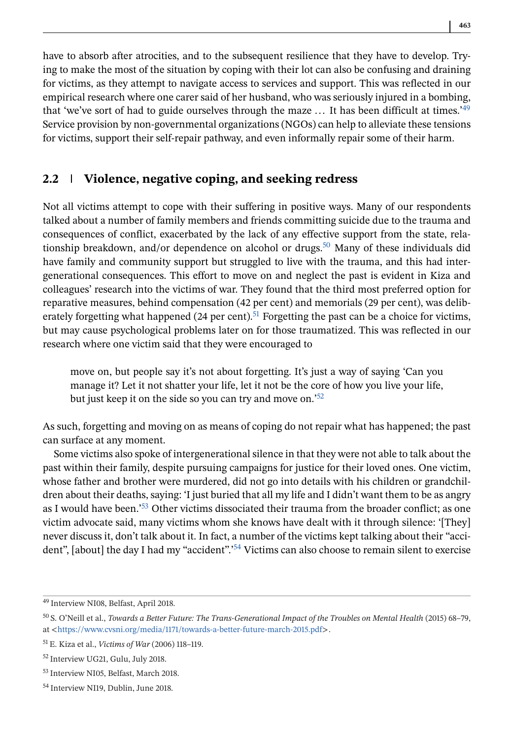have to absorb after atrocities, and to the subsequent resilience that they have to develop. Trying to make the most of the situation by coping with their lot can also be confusing and draining for victims, as they attempt to navigate access to services and support. This was reflected in our empirical research where one carer said of her husband, who was seriously injured in a bombing, that 'we've sort of had to guide ourselves through the maze ... It has been difficult at times.<sup>'49</sup> Service provision by non-governmental organizations (NGOs) can help to alleviate these tensions for victims, support their self-repair pathway, and even informally repair some of their harm.

# **2.2 Violence, negative coping, and seeking redress**

Not all victims attempt to cope with their suffering in positive ways. Many of our respondents talked about a number of family members and friends committing suicide due to the trauma and consequences of conflict, exacerbated by the lack of any effective support from the state, relationship breakdown, and/or dependence on alcohol or drugs.<sup>50</sup> Many of these individuals did have family and community support but struggled to live with the trauma, and this had intergenerational consequences. This effort to move on and neglect the past is evident in Kiza and colleagues' research into the victims of war. They found that the third most preferred option for reparative measures, behind compensation (42 per cent) and memorials (29 per cent), was deliberately forgetting what happened (24 per cent).<sup>51</sup> Forgetting the past can be a choice for victims, but may cause psychological problems later on for those traumatized. This was reflected in our research where one victim said that they were encouraged to

move on, but people say it's not about forgetting. It's just a way of saying 'Can you manage it? Let it not shatter your life, let it not be the core of how you live your life, but just keep it on the side so you can try and move on.<sup>52</sup>

As such, forgetting and moving on as means of coping do not repair what has happened; the past can surface at any moment.

Some victims also spoke of intergenerational silence in that they were not able to talk about the past within their family, despite pursuing campaigns for justice for their loved ones. One victim, whose father and brother were murdered, did not go into details with his children or grandchildren about their deaths, saying: 'I just buried that all my life and I didn't want them to be as angry as I would have been.'53 Other victims dissociated their trauma from the broader conflict; as one victim advocate said, many victims whom she knows have dealt with it through silence: '[They] never discuss it, don't talk about it. In fact, a number of the victims kept talking about their "accident", [about] the day I had my "accident".<sup>54</sup> Victims can also choose to remain silent to exercise

<sup>49</sup> Interview NI08, Belfast, April 2018.

<sup>50</sup> S. O'Neill et al., *Towards a Better Future: The Trans-Generational Impact of the Troubles on Mental Health* (2015) 68–79, at <<https://www.cvsni.org/media/1171/towards-a-better-future-march-2015.pdf>>.

<sup>51</sup> E. Kiza et al., *Victims of War* (2006) 118–119.

<sup>52</sup> Interview UG21, Gulu, July 2018.

<sup>53</sup> Interview NI05, Belfast, March 2018.

<sup>54</sup> Interview NI19, Dublin, June 2018.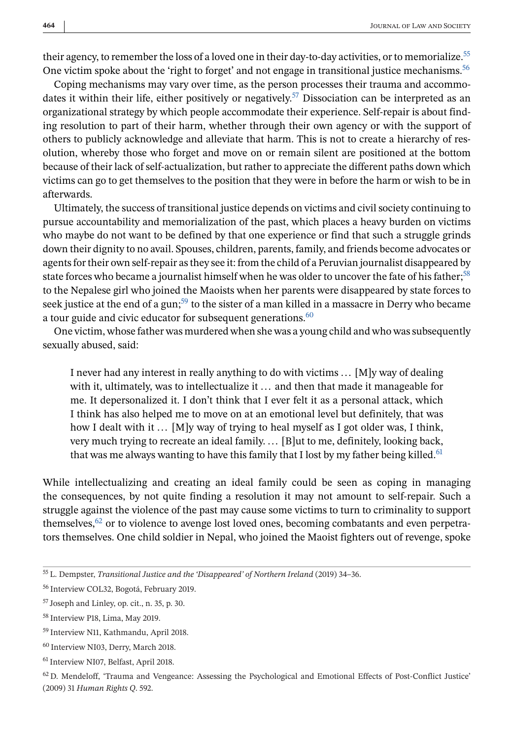their agency, to remember the loss of a loved one in their day-to-day activities, or to memorialize.<sup>55</sup> One victim spoke about the 'right to forget' and not engage in transitional justice mechanisms.<sup>56</sup>

Coping mechanisms may vary over time, as the person processes their trauma and accommodates it within their life, either positively or negatively.<sup>57</sup> Dissociation can be interpreted as an organizational strategy by which people accommodate their experience. Self-repair is about finding resolution to part of their harm, whether through their own agency or with the support of others to publicly acknowledge and alleviate that harm. This is not to create a hierarchy of resolution, whereby those who forget and move on or remain silent are positioned at the bottom because of their lack of self-actualization, but rather to appreciate the different paths down which victims can go to get themselves to the position that they were in before the harm or wish to be in afterwards.

Ultimately, the success of transitional justice depends on victims and civil society continuing to pursue accountability and memorialization of the past, which places a heavy burden on victims who maybe do not want to be defined by that one experience or find that such a struggle grinds down their dignity to no avail. Spouses, children, parents, family, and friends become advocates or agents for their own self-repair as they see it: from the child of a Peruvian journalist disappeared by state forces who became a journalist himself when he was older to uncover the fate of his father;<sup>58</sup> to the Nepalese girl who joined the Maoists when her parents were disappeared by state forces to seek justice at the end of a gun;<sup>59</sup> to the sister of a man killed in a massacre in Derry who became a tour guide and civic educator for subsequent generations.<sup>60</sup>

One victim, whose father was murdered when she was a young child and who was subsequently sexually abused, said:

I never had any interest in really anything to do with victims  $\ldots$  [M]y way of dealing with it, ultimately, was to intellectualize it ... and then that made it manageable for me. It depersonalized it. I don't think that I ever felt it as a personal attack, which I think has also helped me to move on at an emotional level but definitely, that was how I dealt with it ... [M]y way of trying to heal myself as I got older was, I think, very much trying to recreate an ideal family. ... [B]ut to me, definitely, looking back, that was me always wanting to have this family that I lost by my father being killed.<sup>61</sup>

While intellectualizing and creating an ideal family could be seen as coping in managing the consequences, by not quite finding a resolution it may not amount to self-repair. Such a struggle against the violence of the past may cause some victims to turn to criminality to support themselves,  $62$  or to violence to avenge lost loved ones, becoming combatants and even perpetrators themselves. One child soldier in Nepal, who joined the Maoist fighters out of revenge, spoke

 $62$  D. Mendeloff, 'Trauma and Vengeance: Assessing the Psychological and Emotional Effects of Post-Conflict Justice' (2009) 31 *Human Rights Q*. 592.

<sup>55</sup> L. Dempster, *Transitional Justice and the 'Disappeared' of Northern Ireland* (2019) 34–36.

<sup>56</sup> Interview COL32, Bogotá, February 2019.

<sup>57</sup> Joseph and Linley, op. cit., n. 35, p. 30.

<sup>58</sup> Interview P18, Lima, May 2019.

<sup>59</sup> Interview N11, Kathmandu, April 2018.

<sup>60</sup> Interview NI03, Derry, March 2018.

<sup>61</sup> Interview NI07, Belfast, April 2018.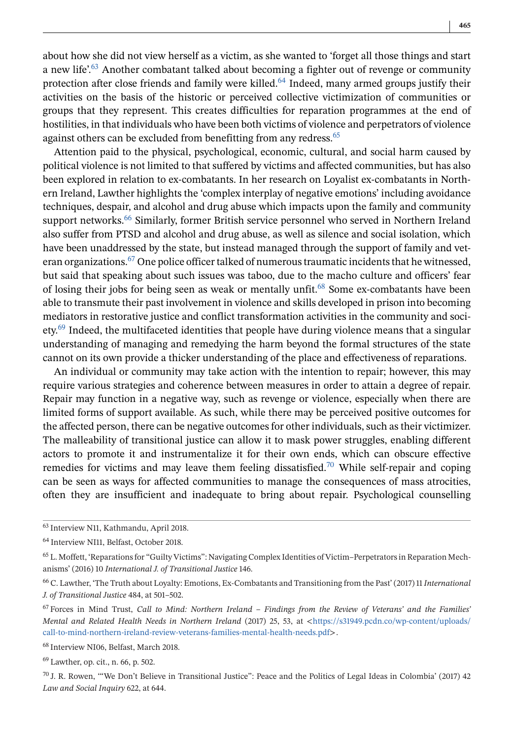about how she did not view herself as a victim, as she wanted to 'forget all those things and start a new life'.<sup>63</sup> Another combatant talked about becoming a fighter out of revenge or community protection after close friends and family were killed.<sup>64</sup> Indeed, many armed groups justify their activities on the basis of the historic or perceived collective victimization of communities or groups that they represent. This creates difficulties for reparation programmes at the end of hostilities, in that individuals who have been both victims of violence and perpetrators of violence against others can be excluded from benefitting from any redress.<sup>65</sup>

Attention paid to the physical, psychological, economic, cultural, and social harm caused by political violence is not limited to that suffered by victims and affected communities, but has also been explored in relation to ex-combatants. In her research on Loyalist ex-combatants in Northern Ireland, Lawther highlights the 'complex interplay of negative emotions' including avoidance techniques, despair, and alcohol and drug abuse which impacts upon the family and community support networks.<sup>66</sup> Similarly, former British service personnel who served in Northern Ireland also suffer from PTSD and alcohol and drug abuse, as well as silence and social isolation, which have been unaddressed by the state, but instead managed through the support of family and veteran organizations.<sup>67</sup> One police officer talked of numerous traumatic incidents that he witnessed, but said that speaking about such issues was taboo, due to the macho culture and officers' fear of losing their jobs for being seen as weak or mentally unfit.<sup>68</sup> Some ex-combatants have been able to transmute their past involvement in violence and skills developed in prison into becoming mediators in restorative justice and conflict transformation activities in the community and soci $e^{i\phi}$  Indeed, the multifaceted identities that people have during violence means that a singular understanding of managing and remedying the harm beyond the formal structures of the state cannot on its own provide a thicker understanding of the place and effectiveness of reparations.

An individual or community may take action with the intention to repair; however, this may require various strategies and coherence between measures in order to attain a degree of repair. Repair may function in a negative way, such as revenge or violence, especially when there are limited forms of support available. As such, while there may be perceived positive outcomes for the affected person, there can be negative outcomes for other individuals, such as their victimizer. The malleability of transitional justice can allow it to mask power struggles, enabling different actors to promote it and instrumentalize it for their own ends, which can obscure effective remedies for victims and may leave them feeling dissatisfied.<sup>70</sup> While self-repair and coping can be seen as ways for affected communities to manage the consequences of mass atrocities, often they are insufficient and inadequate to bring about repair. Psychological counselling

<sup>68</sup> Interview NI06, Belfast, March 2018.

<sup>69</sup> Lawther, op. cit., n. 66, p. 502.

<sup>63</sup> Interview N11, Kathmandu, April 2018.

<sup>64</sup> Interview NI11, Belfast, October 2018.

<sup>65</sup> L. Moffett, 'Reparations for "Guilty Victims": Navigating Complex Identities of Victim–Perpetrators in Reparation Mechanisms' (2016) 10 *International J. of Transitional Justice* 146.

<sup>66</sup> C. Lawther, 'The Truth about Loyalty: Emotions, Ex-Combatants and Transitioning from the Past' (2017) 11*International J. of Transitional Justice* 484, at 501–502.

<sup>67</sup> Forces in Mind Trust, *Call to Mind: Northern Ireland – Findings from the Review of Veterans' and the Families' Mental and Related Health Needs in Northern Ireland* (2017) 25, 53, at <[https://s31949.pcdn.co/wp-content/uploads/](https://s31949.pcdn.co/wp-content/uploads/call-to-mind-northern-ireland-review-veterans-families-mental-health-needs.pdf) [call-to-mind-northern-ireland-review-veterans-families-mental-health-needs.pdf](https://s31949.pcdn.co/wp-content/uploads/call-to-mind-northern-ireland-review-veterans-families-mental-health-needs.pdf)>.

 $70$  J. R. Rowen, "We Don't Believe in Transitional Justice": Peace and the Politics of Legal Ideas in Colombia' (2017) 42 *Law and Social Inquiry* 622, at 644.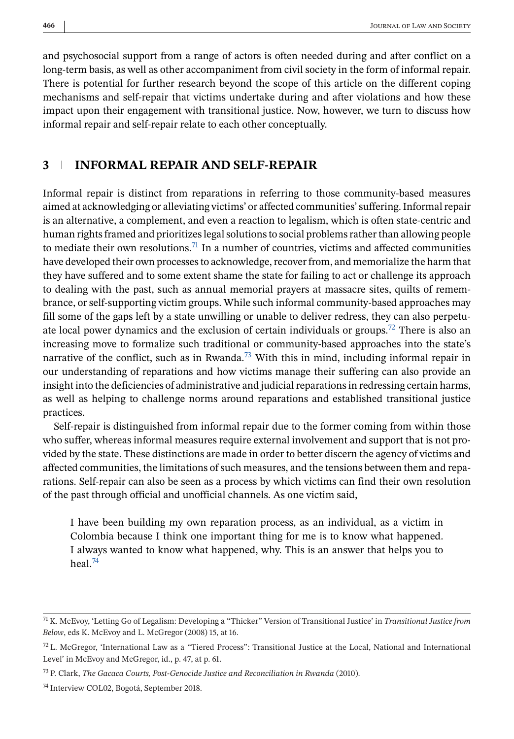and psychosocial support from a range of actors is often needed during and after conflict on a long-term basis, as well as other accompaniment from civil society in the form of informal repair. There is potential for further research beyond the scope of this article on the different coping mechanisms and self-repair that victims undertake during and after violations and how these impact upon their engagement with transitional justice. Now, however, we turn to discuss how informal repair and self-repair relate to each other conceptually.

# **3 INFORMAL REPAIR AND SELF-REPAIR**

Informal repair is distinct from reparations in referring to those community-based measures aimed at acknowledging or alleviating victims' or affected communities' suffering. Informal repair is an alternative, a complement, and even a reaction to legalism, which is often state-centric and human rights framed and prioritizes legal solutions to social problems rather than allowing people to mediate their own resolutions.<sup>71</sup> In a number of countries, victims and affected communities have developed their own processes to acknowledge, recover from, and memorialize the harm that they have suffered and to some extent shame the state for failing to act or challenge its approach to dealing with the past, such as annual memorial prayers at massacre sites, quilts of remembrance, or self-supporting victim groups. While such informal community-based approaches may fill some of the gaps left by a state unwilling or unable to deliver redress, they can also perpetuate local power dynamics and the exclusion of certain individuals or groups.<sup>72</sup> There is also an increasing move to formalize such traditional or community-based approaches into the state's narrative of the conflict, such as in Rwanda.<sup>73</sup> With this in mind, including informal repair in our understanding of reparations and how victims manage their suffering can also provide an insight into the deficiencies of administrative and judicial reparations in redressing certain harms, as well as helping to challenge norms around reparations and established transitional justice practices.

Self-repair is distinguished from informal repair due to the former coming from within those who suffer, whereas informal measures require external involvement and support that is not provided by the state. These distinctions are made in order to better discern the agency of victims and affected communities, the limitations of such measures, and the tensions between them and reparations. Self-repair can also be seen as a process by which victims can find their own resolution of the past through official and unofficial channels. As one victim said,

I have been building my own reparation process, as an individual, as a victim in Colombia because I think one important thing for me is to know what happened. I always wanted to know what happened, why. This is an answer that helps you to heal. $74$ 

<sup>71</sup> K. McEvoy, 'Letting Go of Legalism: Developing a "Thicker" Version of Transitional Justice' in *Transitional Justice from Below*, eds K. McEvoy and L. McGregor (2008) 15, at 16.

 $72$  L. McGregor, 'International Law as a "Tiered Process": Transitional Justice at the Local, National and International Level' in McEvoy and McGregor, id., p. 47, at p. 61.

<sup>73</sup> P. Clark, *The Gacaca Courts, Post-Genocide Justice and Reconciliation in Rwanda* (2010).

<sup>74</sup> Interview COL02, Bogotá, September 2018.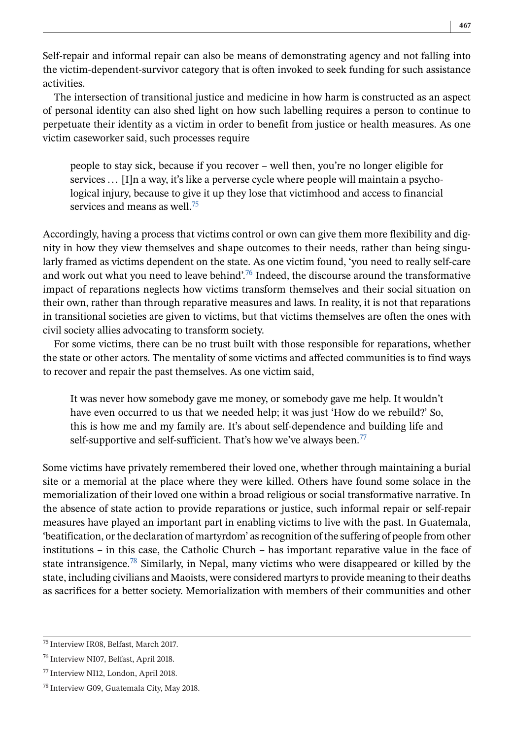Self-repair and informal repair can also be means of demonstrating agency and not falling into the victim-dependent-survivor category that is often invoked to seek funding for such assistance activities.

The intersection of transitional justice and medicine in how harm is constructed as an aspect of personal identity can also shed light on how such labelling requires a person to continue to perpetuate their identity as a victim in order to benefit from justice or health measures. As one victim caseworker said, such processes require

people to stay sick, because if you recover – well then, you're no longer eligible for services ... [I]n a way, it's like a perverse cycle where people will maintain a psychological injury, because to give it up they lose that victimhood and access to financial services and means as well.<sup>75</sup>

Accordingly, having a process that victims control or own can give them more flexibility and dignity in how they view themselves and shape outcomes to their needs, rather than being singularly framed as victims dependent on the state. As one victim found, 'you need to really self-care and work out what you need to leave behind'.<sup>76</sup> Indeed, the discourse around the transformative impact of reparations neglects how victims transform themselves and their social situation on their own, rather than through reparative measures and laws. In reality, it is not that reparations in transitional societies are given to victims, but that victims themselves are often the ones with civil society allies advocating to transform society.

For some victims, there can be no trust built with those responsible for reparations, whether the state or other actors. The mentality of some victims and affected communities is to find ways to recover and repair the past themselves. As one victim said,

It was never how somebody gave me money, or somebody gave me help. It wouldn't have even occurred to us that we needed help; it was just 'How do we rebuild?' So, this is how me and my family are. It's about self-dependence and building life and self-supportive and self-sufficient. That's how we've always been.<sup>77</sup>

Some victims have privately remembered their loved one, whether through maintaining a burial site or a memorial at the place where they were killed. Others have found some solace in the memorialization of their loved one within a broad religious or social transformative narrative. In the absence of state action to provide reparations or justice, such informal repair or self-repair measures have played an important part in enabling victims to live with the past. In Guatemala, 'beatification, or the declaration of martyrdom' as recognition of the suffering of people from other institutions – in this case, the Catholic Church – has important reparative value in the face of state intransigence.<sup>78</sup> Similarly, in Nepal, many victims who were disappeared or killed by the state, including civilians and Maoists, were considered martyrs to provide meaning to their deaths as sacrifices for a better society. Memorialization with members of their communities and other

<sup>75</sup> Interview IR08, Belfast, March 2017.

<sup>76</sup> Interview NI07, Belfast, April 2018.

<sup>77</sup> Interview NI12, London, April 2018.

<sup>78</sup> Interview G09, Guatemala City, May 2018.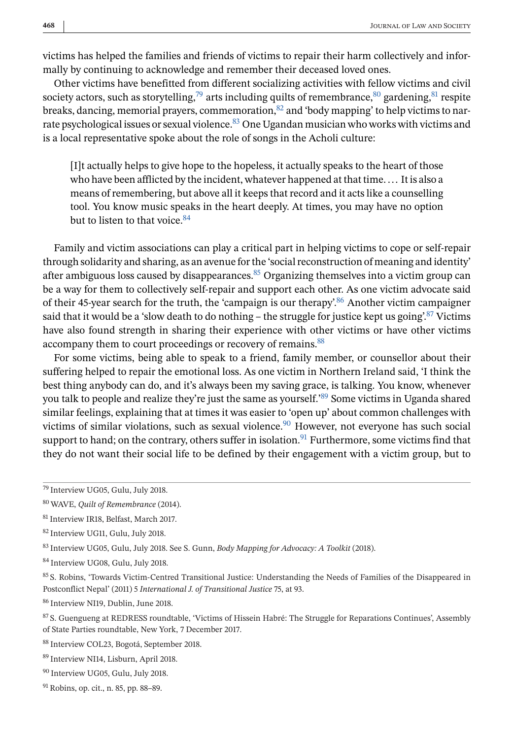victims has helped the families and friends of victims to repair their harm collectively and informally by continuing to acknowledge and remember their deceased loved ones.

Other victims have benefitted from different socializing activities with fellow victims and civil society actors, such as storytelling,<sup>79</sup> arts including quilts of remembrance,<sup>80</sup> gardening,<sup>81</sup> respite breaks, dancing, memorial prayers, commemoration, $82$  and 'body mapping' to help victims to narrate psychological issues or sexual violence.<sup>83</sup> One Ugandan musician who works with victims and is a local representative spoke about the role of songs in the Acholi culture:

[I]t actually helps to give hope to the hopeless, it actually speaks to the heart of those who have been afflicted by the incident, whatever happened at that time. ... It is also a means of remembering, but above all it keeps that record and it acts like a counselling tool. You know music speaks in the heart deeply. At times, you may have no option but to listen to that voice  $84$ 

Family and victim associations can play a critical part in helping victims to cope or self-repair through solidarity and sharing, as an avenue for the 'social reconstruction of meaning and identity' after ambiguous loss caused by disappearances.  $85$  Organizing themselves into a victim group can be a way for them to collectively self-repair and support each other. As one victim advocate said of their 45-year search for the truth, the 'campaign is our therapy'.86 Another victim campaigner said that it would be a 'slow death to do nothing – the struggle for justice kept us going.<sup>87</sup> Victims have also found strength in sharing their experience with other victims or have other victims accompany them to court proceedings or recovery of remains.<sup>88</sup>

For some victims, being able to speak to a friend, family member, or counsellor about their suffering helped to repair the emotional loss. As one victim in Northern Ireland said, 'I think the best thing anybody can do, and it's always been my saving grace, is talking. You know, whenever you talk to people and realize they're just the same as yourself.'89 Some victims in Uganda shared similar feelings, explaining that at times it was easier to 'open up' about common challenges with victims of similar violations, such as sexual violence.<sup>90</sup> However, not everyone has such social support to hand; on the contrary, others suffer in isolation.<sup>91</sup> Furthermore, some victims find that they do not want their social life to be defined by their engagement with a victim group, but to

<sup>84</sup> Interview UG08, Gulu, July 2018.

<sup>85</sup> S. Robins, 'Towards Victim-Centred Transitional Justice: Understanding the Needs of Families of the Disappeared in Postconflict Nepal' (2011) 5 *International J. of Transitional Justice* 75, at 93.

<sup>86</sup> Interview NI19, Dublin, June 2018.

<sup>87</sup> S. Guengueng at REDRESS roundtable, 'Victims of Hissein Habré: The Struggle for Reparations Continues', Assembly of State Parties roundtable, New York, 7 December 2017.

<sup>88</sup> Interview COL23, Bogotá, September 2018.

<sup>89</sup> Interview NI14, Lisburn, April 2018.

<sup>90</sup> Interview UG05, Gulu, July 2018.

<sup>79</sup> Interview UG05, Gulu, July 2018.

<sup>80</sup> WAVE, *Quilt of Remembrance* (2014).

<sup>81</sup> Interview IR18, Belfast, March 2017.

<sup>82</sup> Interview UG11, Gulu, July 2018.

<sup>83</sup> Interview UG05, Gulu, July 2018. See S. Gunn, *Body Mapping for Advocacy: A Toolkit* (2018).

<sup>91</sup> Robins, op. cit., n. 85, pp. 88–89.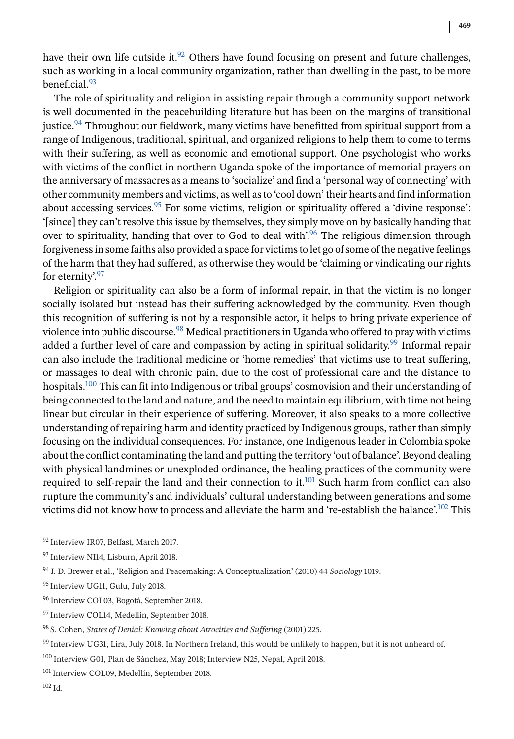have their own life outside it. $92$  Others have found focusing on present and future challenges, such as working in a local community organization, rather than dwelling in the past, to be more beneficial<sup>93</sup>

The role of spirituality and religion in assisting repair through a community support network is well documented in the peacebuilding literature but has been on the margins of transitional justice.94 Throughout our fieldwork, many victims have benefitted from spiritual support from a range of Indigenous, traditional, spiritual, and organized religions to help them to come to terms with their suffering, as well as economic and emotional support. One psychologist who works with victims of the conflict in northern Uganda spoke of the importance of memorial prayers on the anniversary of massacres as a means to 'socialize' and find a 'personal way of connecting' with other community members and victims, as well as to 'cool down' their hearts and find information about accessing services.<sup>95</sup> For some victims, religion or spirituality offered a 'divine response': '[since] they can't resolve this issue by themselves, they simply move on by basically handing that over to spirituality, handing that over to God to deal with<sup>'.96</sup> The religious dimension through forgiveness in some faiths also provided a space for victims to let go of some of the negative feelings of the harm that they had suffered, as otherwise they would be 'claiming or vindicating our rights for eternity'.<sup>97</sup>

Religion or spirituality can also be a form of informal repair, in that the victim is no longer socially isolated but instead has their suffering acknowledged by the community. Even though this recognition of suffering is not by a responsible actor, it helps to bring private experience of violence into public discourse.98 Medical practitioners in Uganda who offered to pray with victims added a further level of care and compassion by acting in spiritual solidarity.<sup>99</sup> Informal repair can also include the traditional medicine or 'home remedies' that victims use to treat suffering, or massages to deal with chronic pain, due to the cost of professional care and the distance to hospitals.<sup>100</sup> This can fit into Indigenous or tribal groups' cosmovision and their understanding of being connected to the land and nature, and the need to maintain equilibrium, with time not being linear but circular in their experience of suffering. Moreover, it also speaks to a more collective understanding of repairing harm and identity practiced by Indigenous groups, rather than simply focusing on the individual consequences. For instance, one Indigenous leader in Colombia spoke about the conflict contaminating the land and putting the territory 'out of balance'. Beyond dealing with physical landmines or unexploded ordinance, the healing practices of the community were required to self-repair the land and their connection to it.<sup>101</sup> Such harm from conflict can also rupture the community's and individuals' cultural understanding between generations and some victims did not know how to process and alleviate the harm and 're-establish the balance'.102 This

<sup>92</sup> Interview IR07, Belfast, March 2017.

<sup>93</sup> Interview NI14, Lisburn, April 2018.

<sup>94</sup> J. D. Brewer et al., 'Religion and Peacemaking: A Conceptualization' (2010) 44 *Sociology* 1019.

<sup>&</sup>lt;sup>95</sup> Interview UG11, Gulu, July 2018.

<sup>96</sup> Interview COL03, Bogotá, September 2018.

<sup>97</sup> Interview COL14, Medellín, September 2018.

<sup>98</sup> S. Cohen, *States of Denial: Knowing about Atrocities and Suffering* (2001) 225.

<sup>99</sup> Interview UG31, Lira, July 2018. In Northern Ireland, this would be unlikely to happen, but it is not unheard of.

<sup>100</sup> Interview G01, Plan de Sánchez, May 2018; Interview N25, Nepal, April 2018.

<sup>101</sup> Interview COL09, Medellín, September 2018.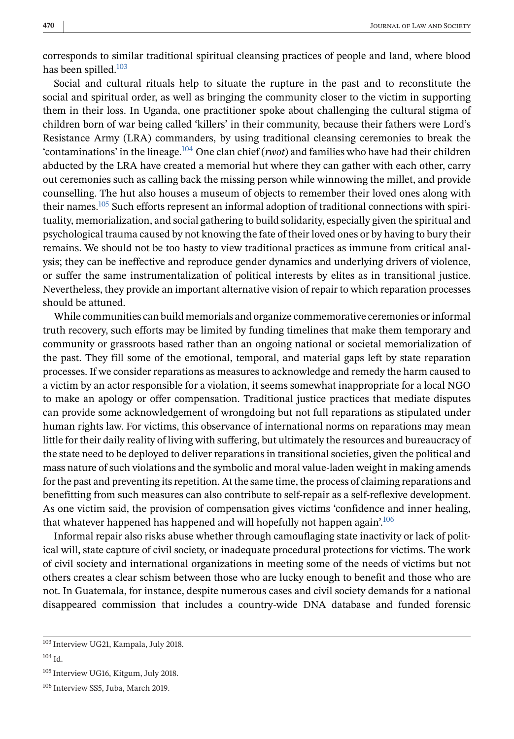corresponds to similar traditional spiritual cleansing practices of people and land, where blood has been spilled.<sup>103</sup>

Social and cultural rituals help to situate the rupture in the past and to reconstitute the social and spiritual order, as well as bringing the community closer to the victim in supporting them in their loss. In Uganda, one practitioner spoke about challenging the cultural stigma of children born of war being called 'killers' in their community, because their fathers were Lord's Resistance Army (LRA) commanders, by using traditional cleansing ceremonies to break the 'contaminations' in the lineage.104 One clan chief (*rwot*) and families who have had their children abducted by the LRA have created a memorial hut where they can gather with each other, carry out ceremonies such as calling back the missing person while winnowing the millet, and provide counselling. The hut also houses a museum of objects to remember their loved ones along with their names.105 Such efforts represent an informal adoption of traditional connections with spirituality, memorialization, and social gathering to build solidarity, especially given the spiritual and psychological trauma caused by not knowing the fate of their loved ones or by having to bury their remains. We should not be too hasty to view traditional practices as immune from critical analysis; they can be ineffective and reproduce gender dynamics and underlying drivers of violence, or suffer the same instrumentalization of political interests by elites as in transitional justice. Nevertheless, they provide an important alternative vision of repair to which reparation processes should be attuned.

While communities can build memorials and organize commemorative ceremonies or informal truth recovery, such efforts may be limited by funding timelines that make them temporary and community or grassroots based rather than an ongoing national or societal memorialization of the past. They fill some of the emotional, temporal, and material gaps left by state reparation processes. If we consider reparations as measures to acknowledge and remedy the harm caused to a victim by an actor responsible for a violation, it seems somewhat inappropriate for a local NGO to make an apology or offer compensation. Traditional justice practices that mediate disputes can provide some acknowledgement of wrongdoing but not full reparations as stipulated under human rights law. For victims, this observance of international norms on reparations may mean little for their daily reality of living with suffering, but ultimately the resources and bureaucracy of the state need to be deployed to deliver reparations in transitional societies, given the political and mass nature of such violations and the symbolic and moral value-laden weight in making amends for the past and preventing its repetition. At the same time, the process of claiming reparations and benefitting from such measures can also contribute to self-repair as a self-reflexive development. As one victim said, the provision of compensation gives victims 'confidence and inner healing, that whatever happened has happened and will hopefully not happen again'.<sup>106</sup>

Informal repair also risks abuse whether through camouflaging state inactivity or lack of political will, state capture of civil society, or inadequate procedural protections for victims. The work of civil society and international organizations in meeting some of the needs of victims but not others creates a clear schism between those who are lucky enough to benefit and those who are not. In Guatemala, for instance, despite numerous cases and civil society demands for a national disappeared commission that includes a country-wide DNA database and funded forensic

<sup>103</sup> Interview UG21, Kampala, July 2018.

<sup>104</sup> Id.

<sup>105</sup> Interview UG16, Kitgum, July 2018.

<sup>106</sup> Interview SS5, Juba, March 2019.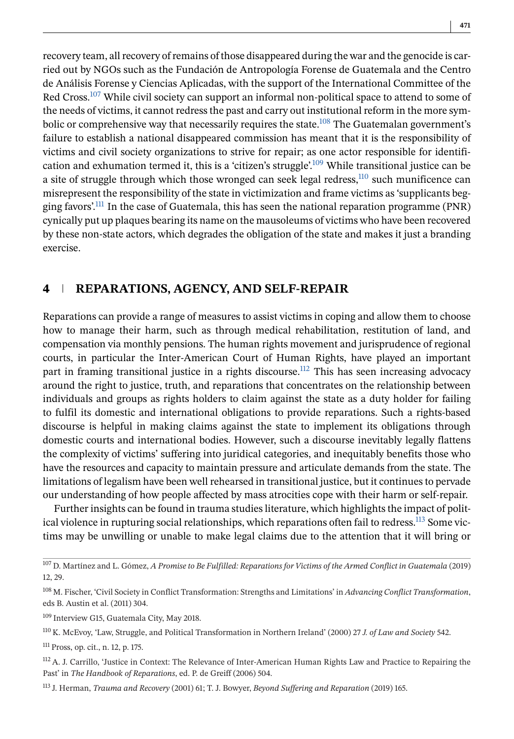recovery team, all recovery of remains of those disappeared during the war and the genocide is carried out by NGOs such as the Fundación de Antropología Forense de Guatemala and the Centro de Análisis Forense y Ciencias Aplicadas, with the support of the International Committee of the Red Cross.<sup>107</sup> While civil society can support an informal non-political space to attend to some of the needs of victims, it cannot redress the past and carry out institutional reform in the more symbolic or comprehensive way that necessarily requires the state.<sup>108</sup> The Guatemalan government's failure to establish a national disappeared commission has meant that it is the responsibility of victims and civil society organizations to strive for repair; as one actor responsible for identification and exhumation termed it, this is a 'citizen's struggle'.<sup>109</sup> While transitional justice can be a site of struggle through which those wronged can seek legal redress,<sup>110</sup> such munificence can misrepresent the responsibility of the state in victimization and frame victims as 'supplicants begging favors'.111 In the case of Guatemala, this has seen the national reparation programme (PNR) cynically put up plaques bearing its name on the mausoleums of victims who have been recovered by these non-state actors, which degrades the obligation of the state and makes it just a branding exercise.

# **4 REPARATIONS, AGENCY, AND SELF-REPAIR**

Reparations can provide a range of measures to assist victims in coping and allow them to choose how to manage their harm, such as through medical rehabilitation, restitution of land, and compensation via monthly pensions. The human rights movement and jurisprudence of regional courts, in particular the Inter-American Court of Human Rights, have played an important part in framing transitional justice in a rights discourse.<sup>112</sup> This has seen increasing advocacy around the right to justice, truth, and reparations that concentrates on the relationship between individuals and groups as rights holders to claim against the state as a duty holder for failing to fulfil its domestic and international obligations to provide reparations. Such a rights-based discourse is helpful in making claims against the state to implement its obligations through domestic courts and international bodies. However, such a discourse inevitably legally flattens the complexity of victims' suffering into juridical categories, and inequitably benefits those who have the resources and capacity to maintain pressure and articulate demands from the state. The limitations of legalism have been well rehearsed in transitional justice, but it continues to pervade our understanding of how people affected by mass atrocities cope with their harm or self-repair.

Further insights can be found in trauma studies literature, which highlights the impact of political violence in rupturing social relationships, which reparations often fail to redress.<sup>113</sup> Some victims may be unwilling or unable to make legal claims due to the attention that it will bring or

<sup>109</sup> Interview G15, Guatemala City, May 2018.

<sup>111</sup> Pross, op. cit., n. 12, p. 175.

<sup>107</sup> D. Martínez and L. Gómez, *A Promise to Be Fulfilled: Reparations for Victims of the Armed Conflict in Guatemala* (2019) 12, 29.

<sup>108</sup> M. Fischer, 'Civil Society in Conflict Transformation: Strengths and Limitations' in *Advancing Conflict Transformation*, eds B. Austin et al. (2011) 304.

<sup>110</sup> K. McEvoy, 'Law, Struggle, and Political Transformation in Northern Ireland' (2000) 27 *J. of Law and Society* 542.

 $112$  A. J. Carrillo, 'Justice in Context: The Relevance of Inter-American Human Rights Law and Practice to Repairing the Past' in *The Handbook of Reparations*, ed. P. de Greiff (2006) 504.

<sup>113</sup> J. Herman, *Trauma and Recovery* (2001) 61; T. J. Bowyer, *Beyond Suffering and Reparation* (2019) 165.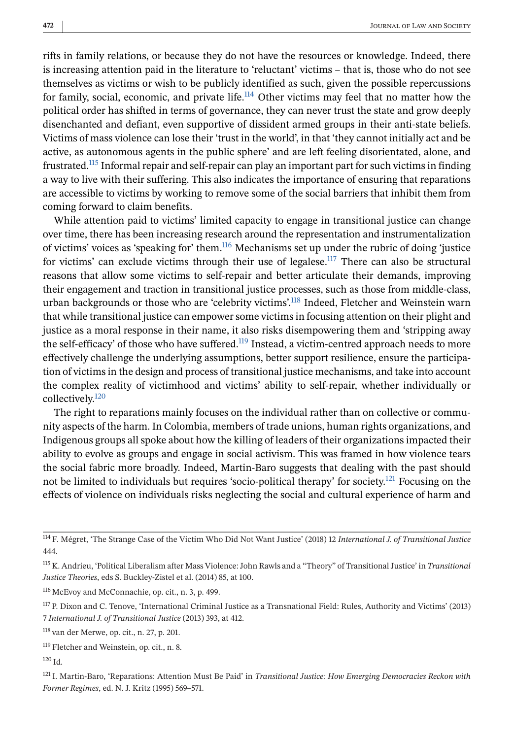rifts in family relations, or because they do not have the resources or knowledge. Indeed, there is increasing attention paid in the literature to 'reluctant' victims – that is, those who do not see themselves as victims or wish to be publicly identified as such, given the possible repercussions for family, social, economic, and private life.<sup>114</sup> Other victims may feel that no matter how the political order has shifted in terms of governance, they can never trust the state and grow deeply disenchanted and defiant, even supportive of dissident armed groups in their anti-state beliefs. Victims of mass violence can lose their 'trust in the world', in that 'they cannot initially act and be active, as autonomous agents in the public sphere' and are left feeling disorientated, alone, and frustrated.115 Informal repair and self-repair can play an important part for such victims in finding a way to live with their suffering. This also indicates the importance of ensuring that reparations are accessible to victims by working to remove some of the social barriers that inhibit them from coming forward to claim benefits.

While attention paid to victims' limited capacity to engage in transitional justice can change over time, there has been increasing research around the representation and instrumentalization of victims' voices as 'speaking for' them.<sup>116</sup> Mechanisms set up under the rubric of doing 'justice for victims' can exclude victims through their use of legalese.<sup>117</sup> There can also be structural reasons that allow some victims to self-repair and better articulate their demands, improving their engagement and traction in transitional justice processes, such as those from middle-class, urban backgrounds or those who are 'celebrity victims'.118 Indeed, Fletcher and Weinstein warn that while transitional justice can empower some victims in focusing attention on their plight and justice as a moral response in their name, it also risks disempowering them and 'stripping away the self-efficacy' of those who have suffered.<sup>119</sup> Instead, a victim-centred approach needs to more effectively challenge the underlying assumptions, better support resilience, ensure the participation of victims in the design and process of transitional justice mechanisms, and take into account the complex reality of victimhood and victims' ability to self-repair, whether individually or collectively.<sup>120</sup>

The right to reparations mainly focuses on the individual rather than on collective or community aspects of the harm. In Colombia, members of trade unions, human rights organizations, and Indigenous groups all spoke about how the killing of leaders of their organizations impacted their ability to evolve as groups and engage in social activism. This was framed in how violence tears the social fabric more broadly. Indeed, Martin-Baro suggests that dealing with the past should not be limited to individuals but requires 'socio-political therapy' for society.121 Focusing on the effects of violence on individuals risks neglecting the social and cultural experience of harm and

<sup>121</sup> I. Martin-Baro, 'Reparations: Attention Must Be Paid' in *Transitional Justice: How Emerging Democracies Reckon with Former Regimes*, ed. N. J. Kritz (1995) 569–571.

<sup>114</sup> F. Mégret, 'The Strange Case of the Victim Who Did Not Want Justice' (2018) 12 *International J. of Transitional Justice* 444.

<sup>115</sup> K. Andrieu, 'Political Liberalism after Mass Violence: John Rawls and a "Theory" of Transitional Justice' in *Transitional Justice Theories*, eds S. Buckley-Zistel et al. (2014) 85, at 100.

<sup>116</sup> McEvoy and McConnachie, op. cit., n. 3, p. 499.

<sup>&</sup>lt;sup>117</sup> P. Dixon and C. Tenove, 'International Criminal Justice as a Transnational Field: Rules, Authority and Victims' (2013) 7 *International J. of Transitional Justice* (2013) 393, at 412.

<sup>118</sup> van der Merwe, op. cit., n. 27, p. 201.

<sup>119</sup> Fletcher and Weinstein, op. cit., n. 8.

<sup>120</sup> Id.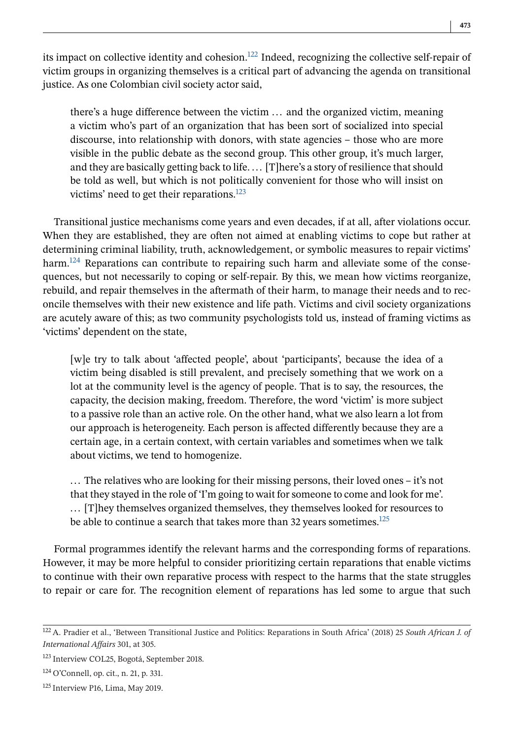its impact on collective identity and cohesion.<sup>122</sup> Indeed, recognizing the collective self-repair of victim groups in organizing themselves is a critical part of advancing the agenda on transitional justice. As one Colombian civil society actor said,

there's a huge difference between the victim ... and the organized victim, meaning a victim who's part of an organization that has been sort of socialized into special discourse, into relationship with donors, with state agencies – those who are more visible in the public debate as the second group. This other group, it's much larger, and they are basically getting back to life. ... [T]here's a story of resilience that should be told as well, but which is not politically convenient for those who will insist on victims' need to get their reparations.<sup>123</sup>

Transitional justice mechanisms come years and even decades, if at all, after violations occur. When they are established, they are often not aimed at enabling victims to cope but rather at determining criminal liability, truth, acknowledgement, or symbolic measures to repair victims' harm.<sup>124</sup> Reparations can contribute to repairing such harm and alleviate some of the consequences, but not necessarily to coping or self-repair. By this, we mean how victims reorganize, rebuild, and repair themselves in the aftermath of their harm, to manage their needs and to reconcile themselves with their new existence and life path. Victims and civil society organizations are acutely aware of this; as two community psychologists told us, instead of framing victims as 'victims' dependent on the state,

[w]e try to talk about 'affected people', about 'participants', because the idea of a victim being disabled is still prevalent, and precisely something that we work on a lot at the community level is the agency of people. That is to say, the resources, the capacity, the decision making, freedom. Therefore, the word 'victim' is more subject to a passive role than an active role. On the other hand, what we also learn a lot from our approach is heterogeneity. Each person is affected differently because they are a certain age, in a certain context, with certain variables and sometimes when we talk about victims, we tend to homogenize.

... The relatives who are looking for their missing persons, their loved ones – it's not that they stayed in the role of 'I'm going to wait for someone to come and look for me'. ... [T]hey themselves organized themselves, they themselves looked for resources to be able to continue a search that takes more than 32 years sometimes. $125$ 

Formal programmes identify the relevant harms and the corresponding forms of reparations. However, it may be more helpful to consider prioritizing certain reparations that enable victims to continue with their own reparative process with respect to the harms that the state struggles to repair or care for. The recognition element of reparations has led some to argue that such

<sup>122</sup> A. Pradier et al., 'Between Transitional Justice and Politics: Reparations in South Africa' (2018) 25 *South African J. of International Affairs* 301, at 305.

<sup>123</sup> Interview COL25, Bogotá, September 2018.

<sup>124</sup> O'Connell, op. cit., n. 21, p. 331.

<sup>125</sup> Interview P16, Lima, May 2019.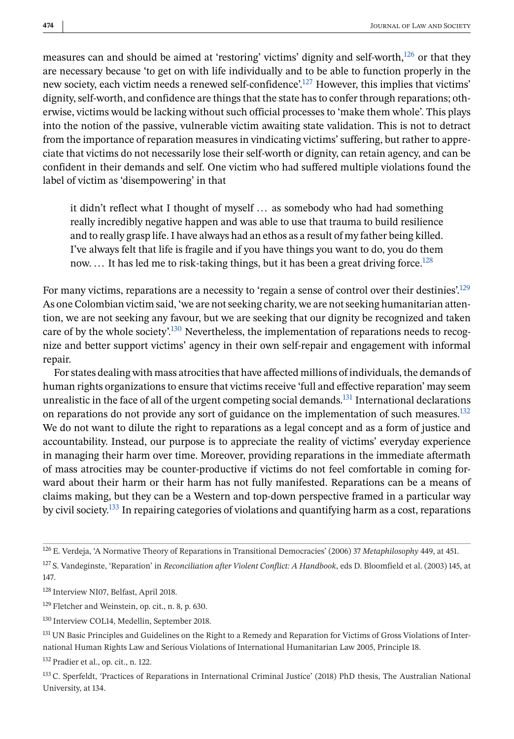measures can and should be aimed at 'restoring' victims' dignity and self-worth, $126$  or that they are necessary because 'to get on with life individually and to be able to function properly in the new society, each victim needs a renewed self-confidence'.<sup>127</sup> However, this implies that victims' dignity, self-worth, and confidence are things that the state has to confer through reparations; otherwise, victims would be lacking without such official processes to 'make them whole'. This plays into the notion of the passive, vulnerable victim awaiting state validation. This is not to detract from the importance of reparation measures in vindicating victims' suffering, but rather to appreciate that victims do not necessarily lose their self-worth or dignity, can retain agency, and can be confident in their demands and self. One victim who had suffered multiple violations found the label of victim as 'disempowering' in that

it didn't reflect what I thought of myself ... as somebody who had had something really incredibly negative happen and was able to use that trauma to build resilience and to really grasp life. I have always had an ethos as a result of my father being killed. I've always felt that life is fragile and if you have things you want to do, you do them now. ... It has led me to risk-taking things, but it has been a great driving force.<sup>128</sup>

For many victims, reparations are a necessity to 'regain a sense of control over their destinies'.<sup>129</sup> As one Colombian victim said, 'we are not seeking charity, we are not seeking humanitarian attention, we are not seeking any favour, but we are seeking that our dignity be recognized and taken care of by the whole society.<sup>130</sup> Nevertheless, the implementation of reparations needs to recognize and better support victims' agency in their own self-repair and engagement with informal repair.

For states dealing with mass atrocities that have affected millions of individuals, the demands of human rights organizations to ensure that victims receive 'full and effective reparation' may seem unrealistic in the face of all of the urgent competing social demands.<sup>131</sup> International declarations on reparations do not provide any sort of guidance on the implementation of such measures. $^{132}$ We do not want to dilute the right to reparations as a legal concept and as a form of justice and accountability. Instead, our purpose is to appreciate the reality of victims' everyday experience in managing their harm over time. Moreover, providing reparations in the immediate aftermath of mass atrocities may be counter-productive if victims do not feel comfortable in coming forward about their harm or their harm has not fully manifested. Reparations can be a means of claims making, but they can be a Western and top-down perspective framed in a particular way by civil society.133 In repairing categories of violations and quantifying harm as a cost, reparations

<sup>126</sup> E. Verdeja, 'A Normative Theory of Reparations in Transitional Democracies' (2006) 37 *Metaphilosophy* 449, at 451.

<sup>127</sup> S. Vandeginste, 'Reparation' in *Reconciliation after Violent Conflict: A Handbook*, eds D. Bloomfield et al. (2003) 145, at 147.

<sup>128</sup> Interview NI07, Belfast, April 2018.

<sup>129</sup> Fletcher and Weinstein, op. cit., n. 8, p. 630.

<sup>130</sup> Interview COL14, Medellín, September 2018.

<sup>&</sup>lt;sup>131</sup> UN Basic Principles and Guidelines on the Right to a Remedy and Reparation for Victims of Gross Violations of International Human Rights Law and Serious Violations of International Humanitarian Law 2005, Principle 18.

<sup>132</sup> Pradier et al., op. cit., n. 122.

<sup>133</sup> C. Sperfeldt, 'Practices of Reparations in International Criminal Justice' (2018) PhD thesis, The Australian National University, at 134.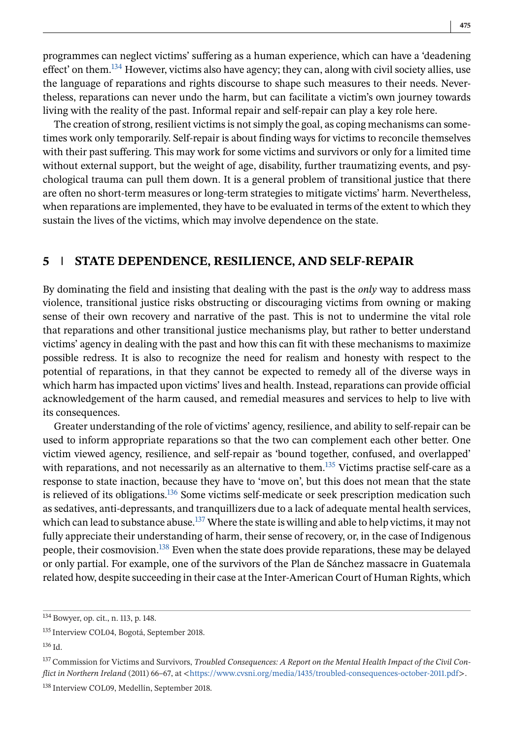programmes can neglect victims' suffering as a human experience, which can have a 'deadening effect' on them.<sup>134</sup> However, victims also have agency; they can, along with civil society allies, use the language of reparations and rights discourse to shape such measures to their needs. Nevertheless, reparations can never undo the harm, but can facilitate a victim's own journey towards living with the reality of the past. Informal repair and self-repair can play a key role here.

The creation of strong, resilient victims is not simply the goal, as coping mechanisms can sometimes work only temporarily. Self-repair is about finding ways for victims to reconcile themselves with their past suffering. This may work for some victims and survivors or only for a limited time without external support, but the weight of age, disability, further traumatizing events, and psychological trauma can pull them down. It is a general problem of transitional justice that there are often no short-term measures or long-term strategies to mitigate victims' harm. Nevertheless, when reparations are implemented, they have to be evaluated in terms of the extent to which they sustain the lives of the victims, which may involve dependence on the state.

# **5 STATE DEPENDENCE, RESILIENCE, AND SELF-REPAIR**

By dominating the field and insisting that dealing with the past is the *only* way to address mass violence, transitional justice risks obstructing or discouraging victims from owning or making sense of their own recovery and narrative of the past. This is not to undermine the vital role that reparations and other transitional justice mechanisms play, but rather to better understand victims' agency in dealing with the past and how this can fit with these mechanisms to maximize possible redress. It is also to recognize the need for realism and honesty with respect to the potential of reparations, in that they cannot be expected to remedy all of the diverse ways in which harm has impacted upon victims' lives and health. Instead, reparations can provide official acknowledgement of the harm caused, and remedial measures and services to help to live with its consequences.

Greater understanding of the role of victims' agency, resilience, and ability to self-repair can be used to inform appropriate reparations so that the two can complement each other better. One victim viewed agency, resilience, and self-repair as 'bound together, confused, and overlapped' with reparations, and not necessarily as an alternative to them.<sup>135</sup> Victims practise self-care as a response to state inaction, because they have to 'move on', but this does not mean that the state is relieved of its obligations.<sup>136</sup> Some victims self-medicate or seek prescription medication such as sedatives, anti-depressants, and tranquillizers due to a lack of adequate mental health services, which can lead to substance abuse.<sup>137</sup> Where the state is willing and able to help victims, it may not fully appreciate their understanding of harm, their sense of recovery, or, in the case of Indigenous people, their cosmovision.138 Even when the state does provide reparations, these may be delayed or only partial. For example, one of the survivors of the Plan de Sánchez massacre in Guatemala related how, despite succeeding in their case at the Inter-American Court of Human Rights, which

<sup>134</sup> Bowyer, op. cit., n. 113, p. 148.

<sup>135</sup> Interview COL04, Bogotá, September 2018.

<sup>136</sup> Id.

<sup>&</sup>lt;sup>137</sup> Commission for Victims and Survivors, *Troubled Consequences: A Report on the Mental Health Impact of the Civil Conflict in Northern Ireland* (2011) 66-67, at <<https://www.cvsni.org/media/1435/troubled-consequences-october-2011.pdf>>.

<sup>138</sup> Interview COL09, Medellín, September 2018.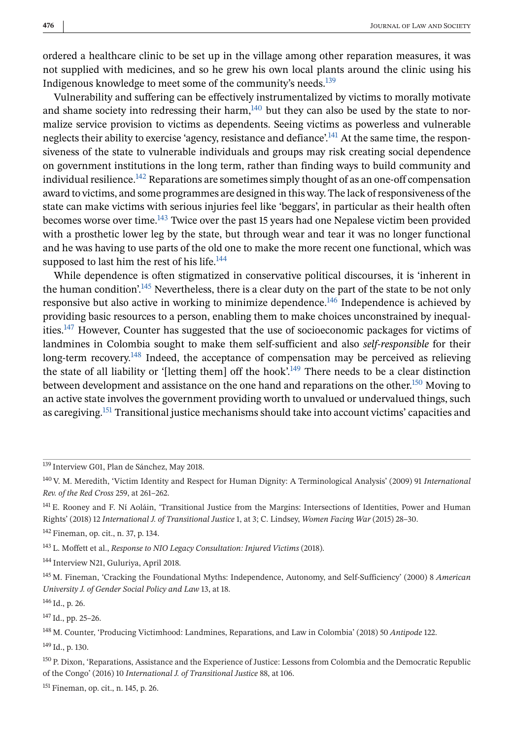ordered a healthcare clinic to be set up in the village among other reparation measures, it was not supplied with medicines, and so he grew his own local plants around the clinic using his Indigenous knowledge to meet some of the community's needs.139

Vulnerability and suffering can be effectively instrumentalized by victims to morally motivate and shame society into redressing their harm, $140$  but they can also be used by the state to normalize service provision to victims as dependents. Seeing victims as powerless and vulnerable neglects their ability to exercise 'agency, resistance and defiance'.<sup>141</sup> At the same time, the responsiveness of the state to vulnerable individuals and groups may risk creating social dependence on government institutions in the long term, rather than finding ways to build community and individual resilience.<sup>142</sup> Reparations are sometimes simply thought of as an one-off compensation award to victims, and some programmes are designed in this way. The lack of responsiveness of the state can make victims with serious injuries feel like 'beggars', in particular as their health often becomes worse over time.143 Twice over the past 15 years had one Nepalese victim been provided with a prosthetic lower leg by the state, but through wear and tear it was no longer functional and he was having to use parts of the old one to make the more recent one functional, which was supposed to last him the rest of his life. $144$ 

While dependence is often stigmatized in conservative political discourses, it is 'inherent in the human condition'.<sup>145</sup> Nevertheless, there is a clear duty on the part of the state to be not only responsive but also active in working to minimize dependence.146 Independence is achieved by providing basic resources to a person, enabling them to make choices unconstrained by inequalities.147 However, Counter has suggested that the use of socioeconomic packages for victims of landmines in Colombia sought to make them self-sufficient and also *self-responsible* for their long-term recovery.<sup>148</sup> Indeed, the acceptance of compensation may be perceived as relieving the state of all liability or '[letting them] off the hook'.<sup>149</sup> There needs to be a clear distinction between development and assistance on the one hand and reparations on the other.<sup>150</sup> Moving to an active state involves the government providing worth to unvalued or undervalued things, such as caregiving.<sup>151</sup> Transitional justice mechanisms should take into account victims' capacities and

<sup>147</sup> Id., pp. 25–26.

<sup>139</sup> Interview G01, Plan de Sánchez, May 2018.

<sup>140</sup> V. M. Meredith, 'Victim Identity and Respect for Human Dignity: A Terminological Analysis' (2009) 91 *International Rev. of the Red Cross* 259, at 261–262.

<sup>141</sup> E. Rooney and F. Ní Aoláin, 'Transitional Justice from the Margins: Intersections of Identities, Power and Human Rights' (2018) 12 *International J. of Transitional Justice* 1, at 3; C. Lindsey, *Women Facing War* (2015) 28–30.

<sup>142</sup> Fineman, op. cit., n. 37, p. 134.

<sup>143</sup> L. Moffett et al., *Response to NIO Legacy Consultation: Injured Victims* (2018).

<sup>144</sup> Interview N21, Guluriya, April 2018.

<sup>145</sup> M. Fineman, 'Cracking the Foundational Myths: Independence, Autonomy, and Self-Sufficiency' (2000) 8 *American University J. of Gender Social Policy and Law* 13, at 18.

 $146$  Id., p. 26.

<sup>148</sup> M. Counter, 'Producing Victimhood: Landmines, Reparations, and Law in Colombia' (2018) 50 *Antipode* 122. <sup>149</sup> Id., p. 130.

<sup>150</sup> P. Dixon, 'Reparations, Assistance and the Experience of Justice: Lessons from Colombia and the Democratic Republic of the Congo' (2016) 10 *International J. of Transitional Justice* 88, at 106.

<sup>151</sup> Fineman, op. cit., n. 145, p. 26.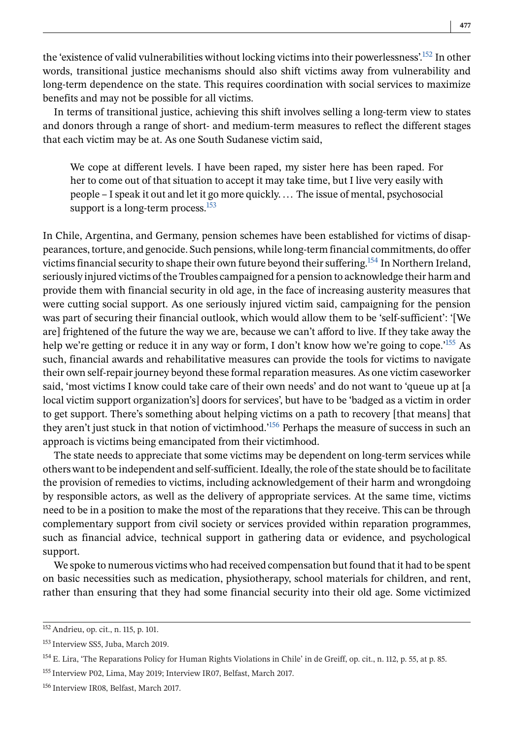the 'existence of valid vulnerabilities without locking victims into their powerlessness'.152 In other words, transitional justice mechanisms should also shift victims away from vulnerability and long-term dependence on the state. This requires coordination with social services to maximize benefits and may not be possible for all victims.

In terms of transitional justice, achieving this shift involves selling a long-term view to states and donors through a range of short- and medium-term measures to reflect the different stages that each victim may be at. As one South Sudanese victim said,

We cope at different levels. I have been raped, my sister here has been raped. For her to come out of that situation to accept it may take time, but I live very easily with people – I speak it out and let it go more quickly. ... The issue of mental, psychosocial support is a long-term process. $153$ 

In Chile, Argentina, and Germany, pension schemes have been established for victims of disappearances, torture, and genocide. Such pensions, while long-term financial commitments, do offer victims financial security to shape their own future beyond their suffering.154 In Northern Ireland, seriously injured victims of the Troubles campaigned for a pension to acknowledge their harm and provide them with financial security in old age, in the face of increasing austerity measures that were cutting social support. As one seriously injured victim said, campaigning for the pension was part of securing their financial outlook, which would allow them to be 'self-sufficient': '[We are] frightened of the future the way we are, because we can't afford to live. If they take away the help we're getting or reduce it in any way or form, I don't know how we're going to cope.<sup>'155</sup> As such, financial awards and rehabilitative measures can provide the tools for victims to navigate their own self-repair journey beyond these formal reparation measures. As one victim caseworker said, 'most victims I know could take care of their own needs' and do not want to 'queue up at [a local victim support organization's] doors for services', but have to be 'badged as a victim in order to get support. There's something about helping victims on a path to recovery [that means] that they aren't just stuck in that notion of victimhood.<sup>156</sup> Perhaps the measure of success in such an approach is victims being emancipated from their victimhood.

The state needs to appreciate that some victims may be dependent on long-term services while others want to be independent and self-sufficient. Ideally, the role of the state should be to facilitate the provision of remedies to victims, including acknowledgement of their harm and wrongdoing by responsible actors, as well as the delivery of appropriate services. At the same time, victims need to be in a position to make the most of the reparations that they receive. This can be through complementary support from civil society or services provided within reparation programmes, such as financial advice, technical support in gathering data or evidence, and psychological support.

We spoke to numerous victims who had received compensation but found that it had to be spent on basic necessities such as medication, physiotherapy, school materials for children, and rent, rather than ensuring that they had some financial security into their old age. Some victimized

<sup>152</sup> Andrieu, op. cit., n. 115, p. 101.

<sup>153</sup> Interview SS5, Juba, March 2019.

<sup>154</sup> E. Lira, 'The Reparations Policy for Human Rights Violations in Chile' in de Greiff, op. cit., n. 112, p. 55, at p. 85.

<sup>155</sup> Interview P02, Lima, May 2019; Interview IR07, Belfast, March 2017.

<sup>156</sup> Interview IR08, Belfast, March 2017.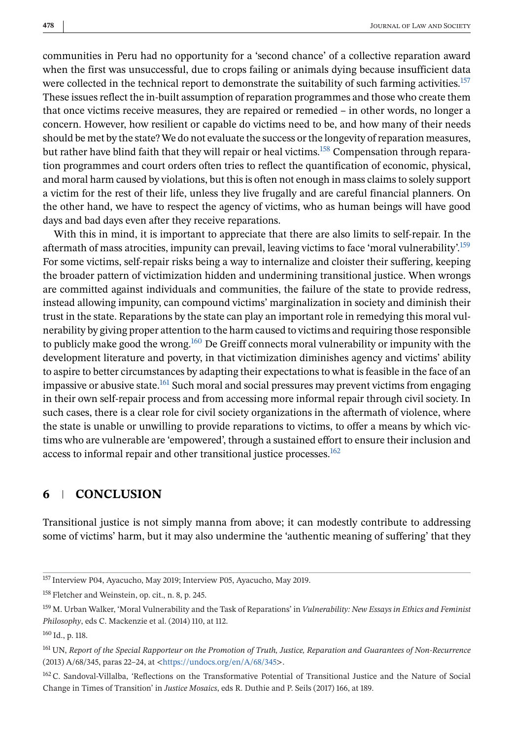communities in Peru had no opportunity for a 'second chance' of a collective reparation award when the first was unsuccessful, due to crops failing or animals dying because insufficient data were collected in the technical report to demonstrate the suitability of such farming activities.<sup>157</sup> These issues reflect the in-built assumption of reparation programmes and those who create them that once victims receive measures, they are repaired or remedied – in other words, no longer a concern. However, how resilient or capable do victims need to be, and how many of their needs should be met by the state? We do not evaluate the success or the longevity of reparation measures, but rather have blind faith that they will repair or heal victims.<sup>158</sup> Compensation through reparation programmes and court orders often tries to reflect the quantification of economic, physical, and moral harm caused by violations, but this is often not enough in mass claims to solely support a victim for the rest of their life, unless they live frugally and are careful financial planners. On the other hand, we have to respect the agency of victims, who as human beings will have good days and bad days even after they receive reparations.

With this in mind, it is important to appreciate that there are also limits to self-repair. In the aftermath of mass atrocities, impunity can prevail, leaving victims to face 'moral vulnerability'.<sup>159</sup> For some victims, self-repair risks being a way to internalize and cloister their suffering, keeping the broader pattern of victimization hidden and undermining transitional justice. When wrongs are committed against individuals and communities, the failure of the state to provide redress, instead allowing impunity, can compound victims' marginalization in society and diminish their trust in the state. Reparations by the state can play an important role in remedying this moral vulnerability by giving proper attention to the harm caused to victims and requiring those responsible to publicly make good the wrong.<sup>160</sup> De Greiff connects moral vulnerability or impunity with the development literature and poverty, in that victimization diminishes agency and victims' ability to aspire to better circumstances by adapting their expectations to what is feasible in the face of an impassive or abusive state.<sup>161</sup> Such moral and social pressures may prevent victims from engaging in their own self-repair process and from accessing more informal repair through civil society. In such cases, there is a clear role for civil society organizations in the aftermath of violence, where the state is unable or unwilling to provide reparations to victims, to offer a means by which victims who are vulnerable are 'empowered', through a sustained effort to ensure their inclusion and access to informal repair and other transitional justice processes.<sup>162</sup>

# **6 CONCLUSION**

Transitional justice is not simply manna from above; it can modestly contribute to addressing some of victims' harm, but it may also undermine the 'authentic meaning of suffering' that they

<sup>157</sup> Interview P04, Ayacucho, May 2019; Interview P05, Ayacucho, May 2019.

<sup>158</sup> Fletcher and Weinstein, op. cit., n. 8, p. 245.

<sup>159</sup> M. Urban Walker, 'Moral Vulnerability and the Task of Reparations' in *Vulnerability: New Essays in Ethics and Feminist Philosophy*, eds C. Mackenzie et al. (2014) 110, at 112.

<sup>160</sup> Id., p. 118.

<sup>161</sup> UN, *Report of the Special Rapporteur on the Promotion of Truth, Justice, Reparation and Guarantees of Non-Recurrence* (2013) A/68/345, paras 22–24, at <<https://undocs.org/en/A/68/345>>.

<sup>&</sup>lt;sup>162</sup> C. Sandoval-Villalba, 'Reflections on the Transformative Potential of Transitional Justice and the Nature of Social Change in Times of Transition' in *Justice Mosaics*, eds R. Duthie and P. Seils (2017) 166, at 189.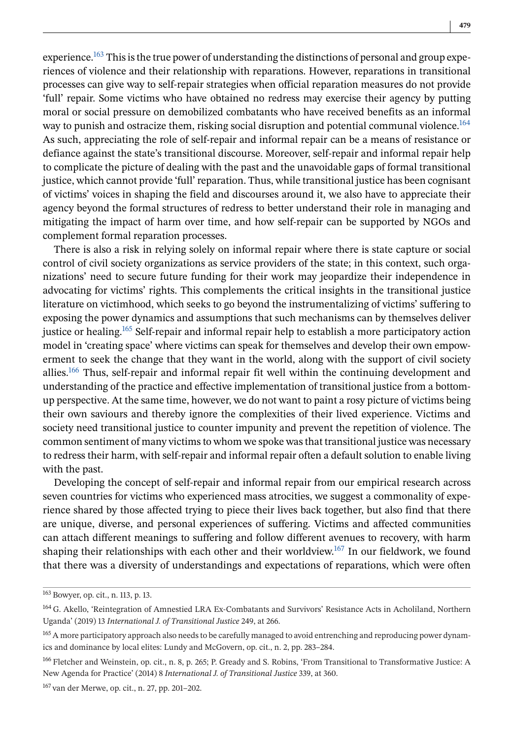experience.<sup>163</sup> This is the true power of understanding the distinctions of personal and group experiences of violence and their relationship with reparations. However, reparations in transitional processes can give way to self-repair strategies when official reparation measures do not provide 'full' repair. Some victims who have obtained no redress may exercise their agency by putting moral or social pressure on demobilized combatants who have received benefits as an informal way to punish and ostracize them, risking social disruption and potential communal violence.<sup>164</sup> As such, appreciating the role of self-repair and informal repair can be a means of resistance or defiance against the state's transitional discourse. Moreover, self-repair and informal repair help to complicate the picture of dealing with the past and the unavoidable gaps of formal transitional justice, which cannot provide 'full' reparation. Thus, while transitional justice has been cognisant of victims' voices in shaping the field and discourses around it, we also have to appreciate their agency beyond the formal structures of redress to better understand their role in managing and mitigating the impact of harm over time, and how self-repair can be supported by NGOs and complement formal reparation processes.

There is also a risk in relying solely on informal repair where there is state capture or social control of civil society organizations as service providers of the state; in this context, such organizations' need to secure future funding for their work may jeopardize their independence in advocating for victims' rights. This complements the critical insights in the transitional justice literature on victimhood, which seeks to go beyond the instrumentalizing of victims' suffering to exposing the power dynamics and assumptions that such mechanisms can by themselves deliver justice or healing.<sup>165</sup> Self-repair and informal repair help to establish a more participatory action model in 'creating space' where victims can speak for themselves and develop their own empowerment to seek the change that they want in the world, along with the support of civil society allies.166 Thus, self-repair and informal repair fit well within the continuing development and understanding of the practice and effective implementation of transitional justice from a bottomup perspective. At the same time, however, we do not want to paint a rosy picture of victims being their own saviours and thereby ignore the complexities of their lived experience. Victims and society need transitional justice to counter impunity and prevent the repetition of violence. The common sentiment of many victims to whom we spoke was that transitional justice was necessary to redress their harm, with self-repair and informal repair often a default solution to enable living with the past.

Developing the concept of self-repair and informal repair from our empirical research across seven countries for victims who experienced mass atrocities, we suggest a commonality of experience shared by those affected trying to piece their lives back together, but also find that there are unique, diverse, and personal experiences of suffering. Victims and affected communities can attach different meanings to suffering and follow different avenues to recovery, with harm shaping their relationships with each other and their worldview.<sup>167</sup> In our fieldwork, we found that there was a diversity of understandings and expectations of reparations, which were often

<sup>167</sup> van der Merwe, op. cit., n. 27, pp. 201–202.

<sup>163</sup> Bowyer, op. cit., n. 113, p. 13.

<sup>164</sup> G. Akello, 'Reintegration of Amnestied LRA Ex-Combatants and Survivors' Resistance Acts in Acholiland, Northern Uganda' (2019) 13 *International J. of Transitional Justice* 249, at 266.

<sup>&</sup>lt;sup>165</sup> A more participatory approach also needs to be carefully managed to avoid entrenching and reproducing power dynamics and dominance by local elites: Lundy and McGovern, op. cit., n. 2, pp. 283–284.

<sup>166</sup> Fletcher and Weinstein, op. cit., n. 8, p. 265; P. Gready and S. Robins, 'From Transitional to Transformative Justice: A New Agenda for Practice' (2014) 8 *International J. of Transitional Justice* 339, at 360.